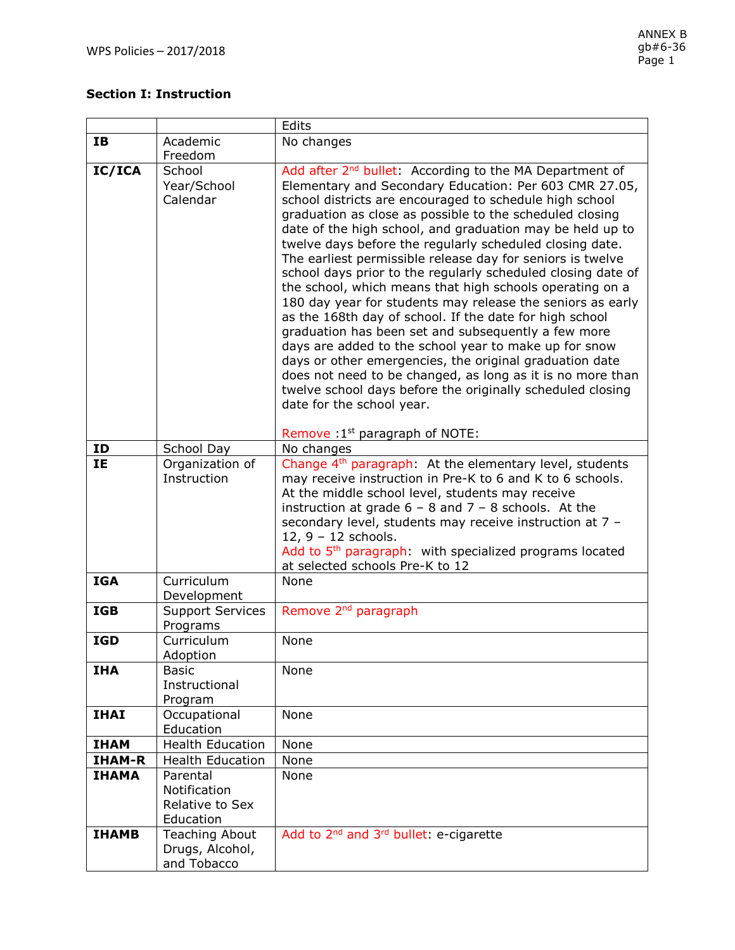# **Section I: Instruction**

|               |                                                          | Edits                                                                                                                                                                                                                                                                                                                                                                                                                                                                                                                                                                                                                                                                                                                                                                                                                                                                                                                                                                                                                                |
|---------------|----------------------------------------------------------|--------------------------------------------------------------------------------------------------------------------------------------------------------------------------------------------------------------------------------------------------------------------------------------------------------------------------------------------------------------------------------------------------------------------------------------------------------------------------------------------------------------------------------------------------------------------------------------------------------------------------------------------------------------------------------------------------------------------------------------------------------------------------------------------------------------------------------------------------------------------------------------------------------------------------------------------------------------------------------------------------------------------------------------|
| <b>IB</b>     | Academic                                                 | No changes                                                                                                                                                                                                                                                                                                                                                                                                                                                                                                                                                                                                                                                                                                                                                                                                                                                                                                                                                                                                                           |
|               | Freedom                                                  |                                                                                                                                                                                                                                                                                                                                                                                                                                                                                                                                                                                                                                                                                                                                                                                                                                                                                                                                                                                                                                      |
| IC/ICA        | School<br>Year/School<br>Calendar                        | Add after 2 <sup>nd</sup> bullet: According to the MA Department of<br>Elementary and Secondary Education: Per 603 CMR 27.05,<br>school districts are encouraged to schedule high school<br>graduation as close as possible to the scheduled closing<br>date of the high school, and graduation may be held up to<br>twelve days before the regularly scheduled closing date.<br>The earliest permissible release day for seniors is twelve<br>school days prior to the regularly scheduled closing date of<br>the school, which means that high schools operating on a<br>180 day year for students may release the seniors as early<br>as the 168th day of school. If the date for high school<br>graduation has been set and subsequently a few more<br>days are added to the school year to make up for snow<br>days or other emergencies, the original graduation date<br>does not need to be changed, as long as it is no more than<br>twelve school days before the originally scheduled closing<br>date for the school year. |
|               |                                                          | Remove : 1 <sup>st</sup> paragraph of NOTE:                                                                                                                                                                                                                                                                                                                                                                                                                                                                                                                                                                                                                                                                                                                                                                                                                                                                                                                                                                                          |
| ID            | School Day                                               | No changes                                                                                                                                                                                                                                                                                                                                                                                                                                                                                                                                                                                                                                                                                                                                                                                                                                                                                                                                                                                                                           |
| <b>IE</b>     | Organization of<br>Instruction                           | Change 4 <sup>th</sup> paragraph: At the elementary level, students<br>may receive instruction in Pre-K to 6 and K to 6 schools.<br>At the middle school level, students may receive<br>instruction at grade $6 - 8$ and $7 - 8$ schools. At the<br>secondary level, students may receive instruction at 7 -<br>12, 9 - 12 schools.<br>Add to 5 <sup>th</sup> paragraph: with specialized programs located<br>at selected schools Pre-K to 12                                                                                                                                                                                                                                                                                                                                                                                                                                                                                                                                                                                        |
| <b>IGA</b>    | Curriculum<br>Development                                | <b>None</b>                                                                                                                                                                                                                                                                                                                                                                                                                                                                                                                                                                                                                                                                                                                                                                                                                                                                                                                                                                                                                          |
| <b>IGB</b>    | <b>Support Services</b><br>Programs                      | Remove 2 <sup>nd</sup> paragraph                                                                                                                                                                                                                                                                                                                                                                                                                                                                                                                                                                                                                                                                                                                                                                                                                                                                                                                                                                                                     |
| <b>IGD</b>    | Curriculum<br>Adoption                                   | None                                                                                                                                                                                                                                                                                                                                                                                                                                                                                                                                                                                                                                                                                                                                                                                                                                                                                                                                                                                                                                 |
| <b>IHA</b>    | Basic<br>Instructional<br>Program                        | None                                                                                                                                                                                                                                                                                                                                                                                                                                                                                                                                                                                                                                                                                                                                                                                                                                                                                                                                                                                                                                 |
| <b>IHAI</b>   | Occupational<br>Education                                | None                                                                                                                                                                                                                                                                                                                                                                                                                                                                                                                                                                                                                                                                                                                                                                                                                                                                                                                                                                                                                                 |
| <b>IHAM</b>   | <b>Health Education</b>                                  | None                                                                                                                                                                                                                                                                                                                                                                                                                                                                                                                                                                                                                                                                                                                                                                                                                                                                                                                                                                                                                                 |
| <b>IHAM-R</b> | <b>Health Education</b>                                  | None                                                                                                                                                                                                                                                                                                                                                                                                                                                                                                                                                                                                                                                                                                                                                                                                                                                                                                                                                                                                                                 |
| <b>IHAMA</b>  | Parental<br>Notification<br>Relative to Sex<br>Education | None                                                                                                                                                                                                                                                                                                                                                                                                                                                                                                                                                                                                                                                                                                                                                                                                                                                                                                                                                                                                                                 |
| <b>IHAMB</b>  | <b>Teaching About</b><br>Drugs, Alcohol,<br>and Tobacco  | Add to 2 <sup>nd</sup> and 3 <sup>rd</sup> bullet: e-cigarette                                                                                                                                                                                                                                                                                                                                                                                                                                                                                                                                                                                                                                                                                                                                                                                                                                                                                                                                                                       |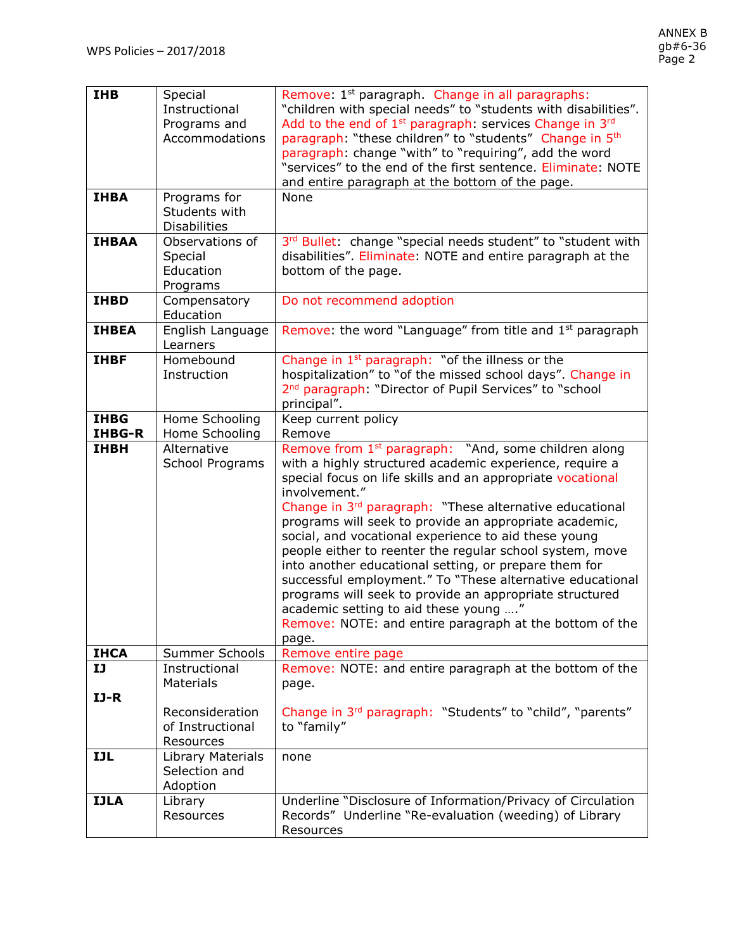| <b>IHB</b><br><b>IHBA</b>    | Special<br>Instructional<br>Programs and<br>Accommodations<br>Programs for            | Remove: 1 <sup>st</sup> paragraph. Change in all paragraphs:<br>"children with special needs" to "students with disabilities".<br>Add to the end of 1 <sup>st</sup> paragraph: services Change in 3 <sup>rd</sup><br>paragraph: "these children" to "students" Change in 5th<br>paragraph: change "with" to "requiring", add the word<br>"services" to the end of the first sentence. Eliminate: NOTE<br>and entire paragraph at the bottom of the page.<br>None                                                                                                                                                                                                                                                                                              |
|------------------------------|---------------------------------------------------------------------------------------|---------------------------------------------------------------------------------------------------------------------------------------------------------------------------------------------------------------------------------------------------------------------------------------------------------------------------------------------------------------------------------------------------------------------------------------------------------------------------------------------------------------------------------------------------------------------------------------------------------------------------------------------------------------------------------------------------------------------------------------------------------------|
| <b>IHBAA</b>                 | Students with<br><b>Disabilities</b><br>Observations of                               |                                                                                                                                                                                                                                                                                                                                                                                                                                                                                                                                                                                                                                                                                                                                                               |
|                              | Special<br>Education<br>Programs                                                      | 3rd Bullet: change "special needs student" to "student with<br>disabilities". Eliminate: NOTE and entire paragraph at the<br>bottom of the page.                                                                                                                                                                                                                                                                                                                                                                                                                                                                                                                                                                                                              |
| <b>IHBD</b>                  | Compensatory<br>Education                                                             | Do not recommend adoption                                                                                                                                                                                                                                                                                                                                                                                                                                                                                                                                                                                                                                                                                                                                     |
| <b>IHBEA</b>                 | English Language<br>Learners                                                          | Remove: the word "Language" from title and 1 <sup>st</sup> paragraph                                                                                                                                                                                                                                                                                                                                                                                                                                                                                                                                                                                                                                                                                          |
| <b>IHBF</b>                  | Homebound<br>Instruction                                                              | Change in $1st$ paragraph: "of the illness or the<br>hospitalization" to "of the missed school days". Change in<br>2 <sup>nd</sup> paragraph: "Director of Pupil Services" to "school<br>principal".                                                                                                                                                                                                                                                                                                                                                                                                                                                                                                                                                          |
| <b>IHBG</b><br><b>IHBG-R</b> | Home Schooling<br>Home Schooling                                                      | Keep current policy<br>Remove                                                                                                                                                                                                                                                                                                                                                                                                                                                                                                                                                                                                                                                                                                                                 |
| <b>IHBH</b>                  | Alternative<br>School Programs                                                        | Remove from 1 <sup>st</sup> paragraph: "And, some children along<br>with a highly structured academic experience, require a<br>special focus on life skills and an appropriate vocational<br>involvement."<br>Change in 3 <sup>rd</sup> paragraph: "These alternative educational<br>programs will seek to provide an appropriate academic,<br>social, and vocational experience to aid these young<br>people either to reenter the regular school system, move<br>into another educational setting, or prepare them for<br>successful employment." To "These alternative educational<br>programs will seek to provide an appropriate structured<br>academic setting to aid these young "<br>Remove: NOTE: and entire paragraph at the bottom of the<br>page. |
| <b>IHCA</b>                  | Summer Schools                                                                        | Remove entire page                                                                                                                                                                                                                                                                                                                                                                                                                                                                                                                                                                                                                                                                                                                                            |
| IJ<br>$IJ-R$                 | Instructional<br><b>Materials</b><br>Reconsideration<br>of Instructional<br>Resources | Remove: NOTE: and entire paragraph at the bottom of the<br>page.<br>Change in 3 <sup>rd</sup> paragraph: "Students" to "child", "parents"<br>to "family"                                                                                                                                                                                                                                                                                                                                                                                                                                                                                                                                                                                                      |
| <b>IJL</b>                   | Library Materials<br>Selection and<br>Adoption                                        | none                                                                                                                                                                                                                                                                                                                                                                                                                                                                                                                                                                                                                                                                                                                                                          |
| <b>IJLA</b>                  | Library<br>Resources                                                                  | Underline "Disclosure of Information/Privacy of Circulation<br>Records" Underline "Re-evaluation (weeding) of Library<br>Resources                                                                                                                                                                                                                                                                                                                                                                                                                                                                                                                                                                                                                            |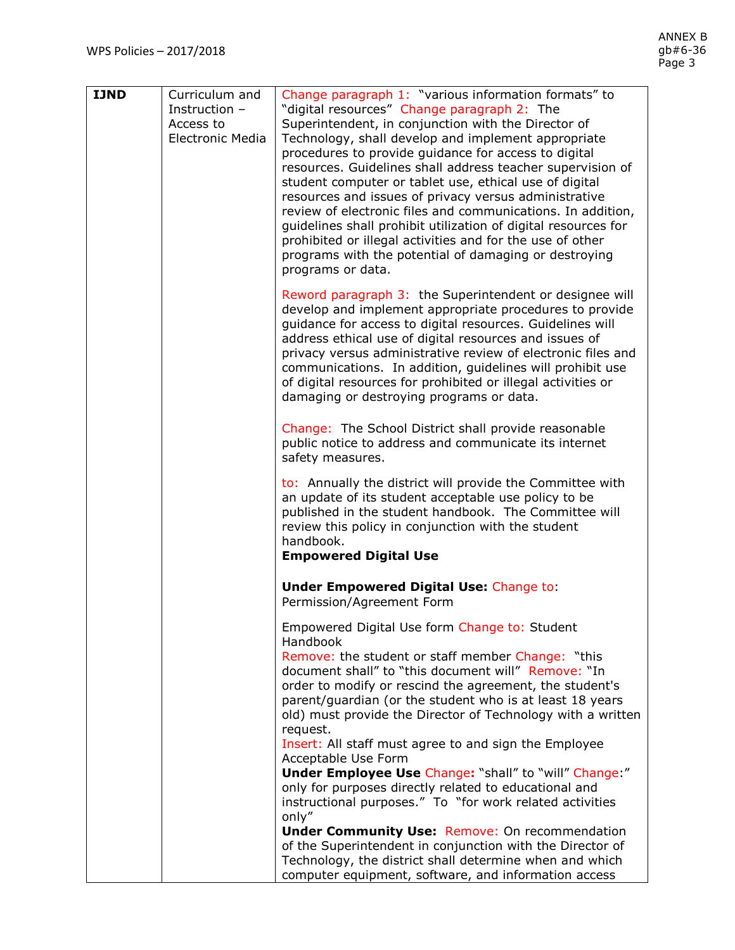| <b>IJND</b> | Curriculum and<br>Instruction -<br>Access to<br><b>Electronic Media</b> | Change paragraph 1: "various information formats" to<br>"digital resources" Change paragraph 2: The<br>Superintendent, in conjunction with the Director of<br>Technology, shall develop and implement appropriate<br>procedures to provide guidance for access to digital<br>resources. Guidelines shall address teacher supervision of<br>student computer or tablet use, ethical use of digital<br>resources and issues of privacy versus administrative<br>review of electronic files and communications. In addition,<br>guidelines shall prohibit utilization of digital resources for<br>prohibited or illegal activities and for the use of other<br>programs with the potential of damaging or destroying<br>programs or data.                                      |
|-------------|-------------------------------------------------------------------------|-----------------------------------------------------------------------------------------------------------------------------------------------------------------------------------------------------------------------------------------------------------------------------------------------------------------------------------------------------------------------------------------------------------------------------------------------------------------------------------------------------------------------------------------------------------------------------------------------------------------------------------------------------------------------------------------------------------------------------------------------------------------------------|
|             |                                                                         | Reword paragraph 3: the Superintendent or designee will<br>develop and implement appropriate procedures to provide<br>guidance for access to digital resources. Guidelines will<br>address ethical use of digital resources and issues of<br>privacy versus administrative review of electronic files and<br>communications. In addition, guidelines will prohibit use<br>of digital resources for prohibited or illegal activities or<br>damaging or destroying programs or data.                                                                                                                                                                                                                                                                                          |
|             |                                                                         | Change: The School District shall provide reasonable<br>public notice to address and communicate its internet<br>safety measures.                                                                                                                                                                                                                                                                                                                                                                                                                                                                                                                                                                                                                                           |
|             |                                                                         | to: Annually the district will provide the Committee with<br>an update of its student acceptable use policy to be<br>published in the student handbook. The Committee will<br>review this policy in conjunction with the student<br>handbook.<br><b>Empowered Digital Use</b>                                                                                                                                                                                                                                                                                                                                                                                                                                                                                               |
|             |                                                                         | <b>Under Empowered Digital Use: Change to:</b><br>Permission/Agreement Form                                                                                                                                                                                                                                                                                                                                                                                                                                                                                                                                                                                                                                                                                                 |
|             |                                                                         | Empowered Digital Use form Change to: Student<br>Handbook<br>Remove: the student or staff member Change: "this<br>document shall" to "this document will" Remove: "In<br>order to modify or rescind the agreement, the student's<br>parent/guardian (or the student who is at least 18 years<br>old) must provide the Director of Technology with a written<br>request.<br>Insert: All staff must agree to and sign the Employee<br>Acceptable Use Form<br><b>Under Employee Use Change: "shall" to "will" Change:"</b><br>only for purposes directly related to educational and<br>instructional purposes." To "for work related activities<br>only"<br><b>Under Community Use: Remove: On recommendation</b><br>of the Superintendent in conjunction with the Director of |
|             |                                                                         | Technology, the district shall determine when and which<br>computer equipment, software, and information access                                                                                                                                                                                                                                                                                                                                                                                                                                                                                                                                                                                                                                                             |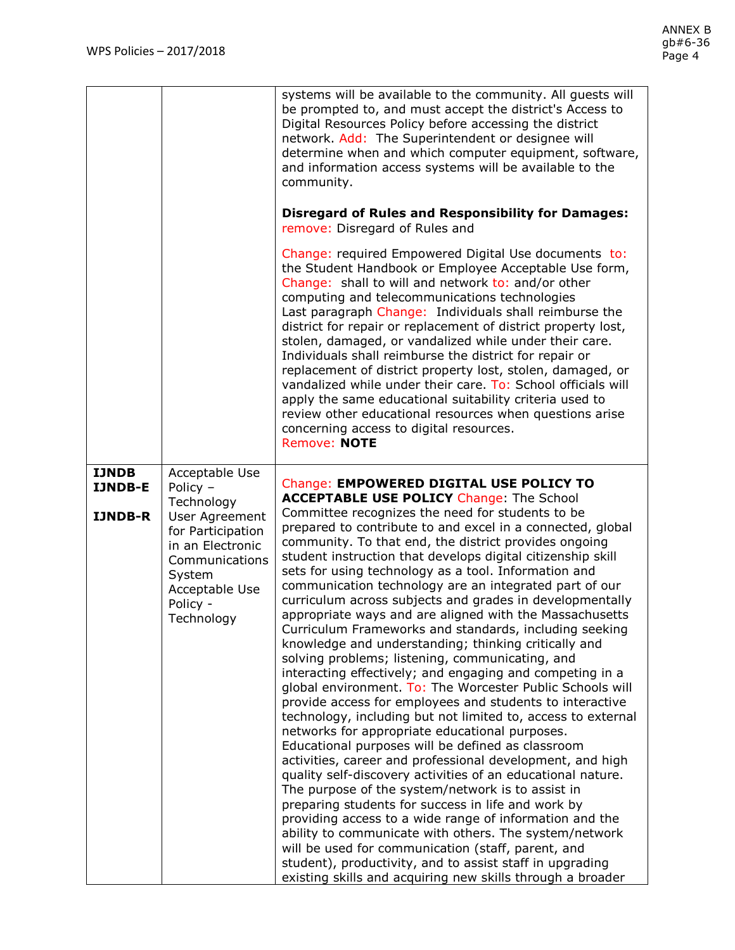|                                  |                                                                                                                                                             | systems will be available to the community. All guests will                                                                                                                                                                                                                                                                                                                                                                                                                                                                                                                                                                                                                                                                                                                                                                                                                                                                                                                                                                                                                                                                                                                                                                                                                                                                                                                                                                                                                                                                                                                                                     |
|----------------------------------|-------------------------------------------------------------------------------------------------------------------------------------------------------------|-----------------------------------------------------------------------------------------------------------------------------------------------------------------------------------------------------------------------------------------------------------------------------------------------------------------------------------------------------------------------------------------------------------------------------------------------------------------------------------------------------------------------------------------------------------------------------------------------------------------------------------------------------------------------------------------------------------------------------------------------------------------------------------------------------------------------------------------------------------------------------------------------------------------------------------------------------------------------------------------------------------------------------------------------------------------------------------------------------------------------------------------------------------------------------------------------------------------------------------------------------------------------------------------------------------------------------------------------------------------------------------------------------------------------------------------------------------------------------------------------------------------------------------------------------------------------------------------------------------------|
|                                  |                                                                                                                                                             | be prompted to, and must accept the district's Access to<br>Digital Resources Policy before accessing the district<br>network. Add: The Superintendent or designee will<br>determine when and which computer equipment, software,<br>and information access systems will be available to the<br>community.                                                                                                                                                                                                                                                                                                                                                                                                                                                                                                                                                                                                                                                                                                                                                                                                                                                                                                                                                                                                                                                                                                                                                                                                                                                                                                      |
|                                  |                                                                                                                                                             | <b>Disregard of Rules and Responsibility for Damages:</b><br>remove: Disregard of Rules and                                                                                                                                                                                                                                                                                                                                                                                                                                                                                                                                                                                                                                                                                                                                                                                                                                                                                                                                                                                                                                                                                                                                                                                                                                                                                                                                                                                                                                                                                                                     |
|                                  |                                                                                                                                                             | Change: required Empowered Digital Use documents to:<br>the Student Handbook or Employee Acceptable Use form,<br>Change: shall to will and network to: and/or other<br>computing and telecommunications technologies<br>Last paragraph Change: Individuals shall reimburse the<br>district for repair or replacement of district property lost,<br>stolen, damaged, or vandalized while under their care.<br>Individuals shall reimburse the district for repair or<br>replacement of district property lost, stolen, damaged, or<br>vandalized while under their care. To: School officials will<br>apply the same educational suitability criteria used to<br>review other educational resources when questions arise<br>concerning access to digital resources.<br>Remove: NOTE                                                                                                                                                                                                                                                                                                                                                                                                                                                                                                                                                                                                                                                                                                                                                                                                                              |
| <b>IJNDB</b>                     | Acceptable Use                                                                                                                                              | <b>Change: EMPOWERED DIGITAL USE POLICY TO</b>                                                                                                                                                                                                                                                                                                                                                                                                                                                                                                                                                                                                                                                                                                                                                                                                                                                                                                                                                                                                                                                                                                                                                                                                                                                                                                                                                                                                                                                                                                                                                                  |
| <b>IJNDB-E</b><br><b>IJNDB-R</b> | Policy $-$<br>Technology<br>User Agreement<br>for Participation<br>in an Electronic<br>Communications<br>System<br>Acceptable Use<br>Policy -<br>Technology | <b>ACCEPTABLE USE POLICY Change: The School</b><br>Committee recognizes the need for students to be<br>prepared to contribute to and excel in a connected, global<br>community. To that end, the district provides ongoing<br>student instruction that develops digital citizenship skill<br>sets for using technology as a tool. Information and<br>communication technology are an integrated part of our<br>curriculum across subjects and grades in developmentally<br>appropriate ways and are aligned with the Massachusetts<br>Curriculum Frameworks and standards, including seeking<br>knowledge and understanding; thinking critically and<br>solving problems; listening, communicating, and<br>interacting effectively; and engaging and competing in a<br>global environment. To: The Worcester Public Schools will<br>provide access for employees and students to interactive<br>technology, including but not limited to, access to external<br>networks for appropriate educational purposes.<br>Educational purposes will be defined as classroom<br>activities, career and professional development, and high<br>quality self-discovery activities of an educational nature.<br>The purpose of the system/network is to assist in<br>preparing students for success in life and work by<br>providing access to a wide range of information and the<br>ability to communicate with others. The system/network<br>will be used for communication (staff, parent, and<br>student), productivity, and to assist staff in upgrading<br>existing skills and acquiring new skills through a broader |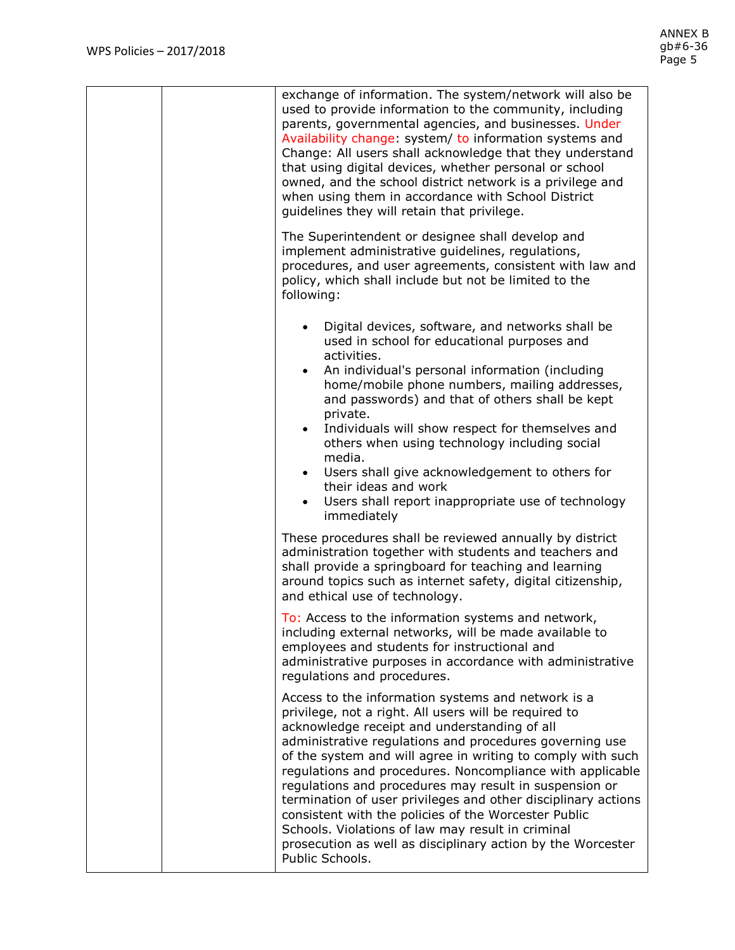| exchange of information. The system/network will also be<br>used to provide information to the community, including<br>parents, governmental agencies, and businesses. Under<br>Availability change: system/ to information systems and<br>Change: All users shall acknowledge that they understand<br>that using digital devices, whether personal or school<br>owned, and the school district network is a privilege and<br>when using them in accordance with School District<br>guidelines they will retain that privilege.                                                                                                                                              |
|------------------------------------------------------------------------------------------------------------------------------------------------------------------------------------------------------------------------------------------------------------------------------------------------------------------------------------------------------------------------------------------------------------------------------------------------------------------------------------------------------------------------------------------------------------------------------------------------------------------------------------------------------------------------------|
| The Superintendent or designee shall develop and<br>implement administrative guidelines, regulations,<br>procedures, and user agreements, consistent with law and<br>policy, which shall include but not be limited to the<br>following:                                                                                                                                                                                                                                                                                                                                                                                                                                     |
| Digital devices, software, and networks shall be<br>used in school for educational purposes and<br>activities.<br>An individual's personal information (including<br>$\bullet$<br>home/mobile phone numbers, mailing addresses,<br>and passwords) and that of others shall be kept<br>private.<br>Individuals will show respect for themselves and<br>others when using technology including social<br>media.<br>Users shall give acknowledgement to others for<br>their ideas and work<br>• Users shall report inappropriate use of technology<br>immediately                                                                                                               |
| These procedures shall be reviewed annually by district<br>administration together with students and teachers and<br>shall provide a springboard for teaching and learning<br>around topics such as internet safety, digital citizenship,<br>and ethical use of technology.                                                                                                                                                                                                                                                                                                                                                                                                  |
| To: Access to the information systems and network<br>including external networks, will be made available to<br>employees and students for instructional and<br>administrative purposes in accordance with administrative<br>regulations and procedures.                                                                                                                                                                                                                                                                                                                                                                                                                      |
| Access to the information systems and network is a<br>privilege, not a right. All users will be required to<br>acknowledge receipt and understanding of all<br>administrative regulations and procedures governing use<br>of the system and will agree in writing to comply with such<br>regulations and procedures. Noncompliance with applicable<br>regulations and procedures may result in suspension or<br>termination of user privileges and other disciplinary actions<br>consistent with the policies of the Worcester Public<br>Schools. Violations of law may result in criminal<br>prosecution as well as disciplinary action by the Worcester<br>Public Schools. |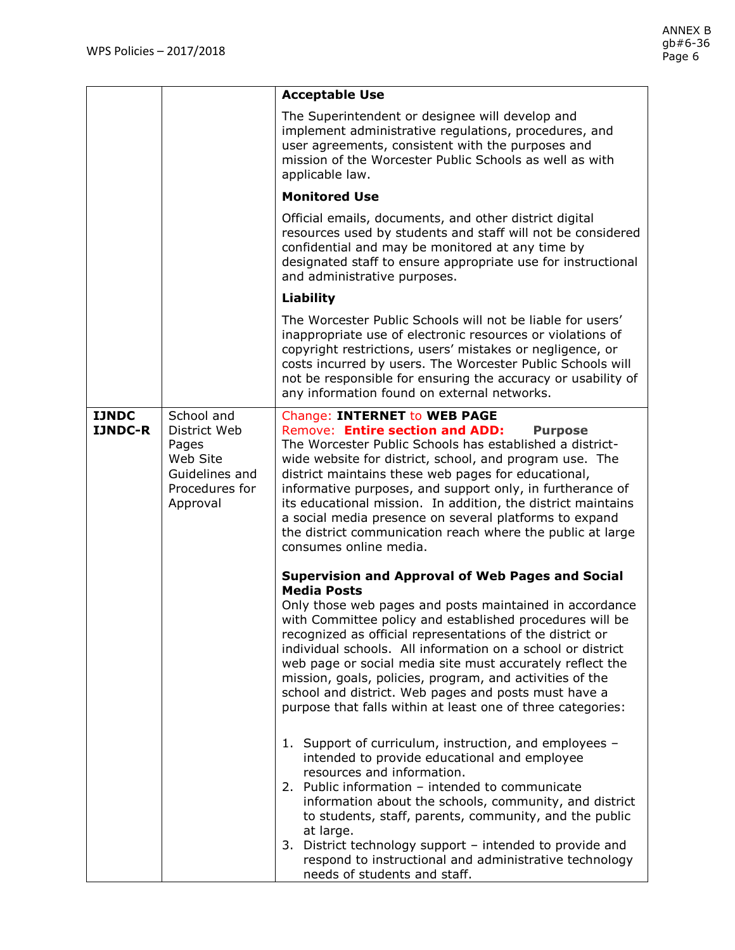|                                |                                                                                                 | <b>Acceptable Use</b>                                                                                                                                                                                                                                                                                                                                                                                                                                                                                                                                                                                                                                                                                                                                                                                                                                                                                                                                                                                                                                                                                                                                                                                                                                                                                                                                                                                                                                                 |
|--------------------------------|-------------------------------------------------------------------------------------------------|-----------------------------------------------------------------------------------------------------------------------------------------------------------------------------------------------------------------------------------------------------------------------------------------------------------------------------------------------------------------------------------------------------------------------------------------------------------------------------------------------------------------------------------------------------------------------------------------------------------------------------------------------------------------------------------------------------------------------------------------------------------------------------------------------------------------------------------------------------------------------------------------------------------------------------------------------------------------------------------------------------------------------------------------------------------------------------------------------------------------------------------------------------------------------------------------------------------------------------------------------------------------------------------------------------------------------------------------------------------------------------------------------------------------------------------------------------------------------|
|                                |                                                                                                 | The Superintendent or designee will develop and<br>implement administrative regulations, procedures, and<br>user agreements, consistent with the purposes and<br>mission of the Worcester Public Schools as well as with<br>applicable law.                                                                                                                                                                                                                                                                                                                                                                                                                                                                                                                                                                                                                                                                                                                                                                                                                                                                                                                                                                                                                                                                                                                                                                                                                           |
|                                |                                                                                                 | <b>Monitored Use</b>                                                                                                                                                                                                                                                                                                                                                                                                                                                                                                                                                                                                                                                                                                                                                                                                                                                                                                                                                                                                                                                                                                                                                                                                                                                                                                                                                                                                                                                  |
|                                |                                                                                                 | Official emails, documents, and other district digital<br>resources used by students and staff will not be considered<br>confidential and may be monitored at any time by<br>designated staff to ensure appropriate use for instructional<br>and administrative purposes.                                                                                                                                                                                                                                                                                                                                                                                                                                                                                                                                                                                                                                                                                                                                                                                                                                                                                                                                                                                                                                                                                                                                                                                             |
|                                |                                                                                                 | Liability                                                                                                                                                                                                                                                                                                                                                                                                                                                                                                                                                                                                                                                                                                                                                                                                                                                                                                                                                                                                                                                                                                                                                                                                                                                                                                                                                                                                                                                             |
|                                |                                                                                                 | The Worcester Public Schools will not be liable for users'<br>inappropriate use of electronic resources or violations of<br>copyright restrictions, users' mistakes or negligence, or<br>costs incurred by users. The Worcester Public Schools will<br>not be responsible for ensuring the accuracy or usability of<br>any information found on external networks.                                                                                                                                                                                                                                                                                                                                                                                                                                                                                                                                                                                                                                                                                                                                                                                                                                                                                                                                                                                                                                                                                                    |
| <b>IJNDC</b><br><b>IJNDC-R</b> | School and<br>District Web<br>Pages<br>Web Site<br>Guidelines and<br>Procedures for<br>Approval | <b>Change: INTERNET to WEB PAGE</b><br>Remove: Entire section and ADD:<br><b>Purpose</b><br>The Worcester Public Schools has established a district-<br>wide website for district, school, and program use. The<br>district maintains these web pages for educational,<br>informative purposes, and support only, in furtherance of<br>its educational mission. In addition, the district maintains<br>a social media presence on several platforms to expand<br>the district communication reach where the public at large<br>consumes online media.<br><b>Supervision and Approval of Web Pages and Social</b><br><b>Media Posts</b><br>Only those web pages and posts maintained in accordance<br>with Committee policy and established procedures will be<br>recognized as official representations of the district or<br>individual schools. All information on a school or district<br>web page or social media site must accurately reflect the<br>mission, goals, policies, program, and activities of the<br>school and district. Web pages and posts must have a<br>purpose that falls within at least one of three categories:<br>1. Support of curriculum, instruction, and employees -<br>intended to provide educational and employee<br>resources and information.<br>2. Public information - intended to communicate<br>information about the schools, community, and district<br>to students, staff, parents, community, and the public<br>at large. |
|                                |                                                                                                 | 3. District technology support - intended to provide and<br>respond to instructional and administrative technology<br>needs of students and staff.                                                                                                                                                                                                                                                                                                                                                                                                                                                                                                                                                                                                                                                                                                                                                                                                                                                                                                                                                                                                                                                                                                                                                                                                                                                                                                                    |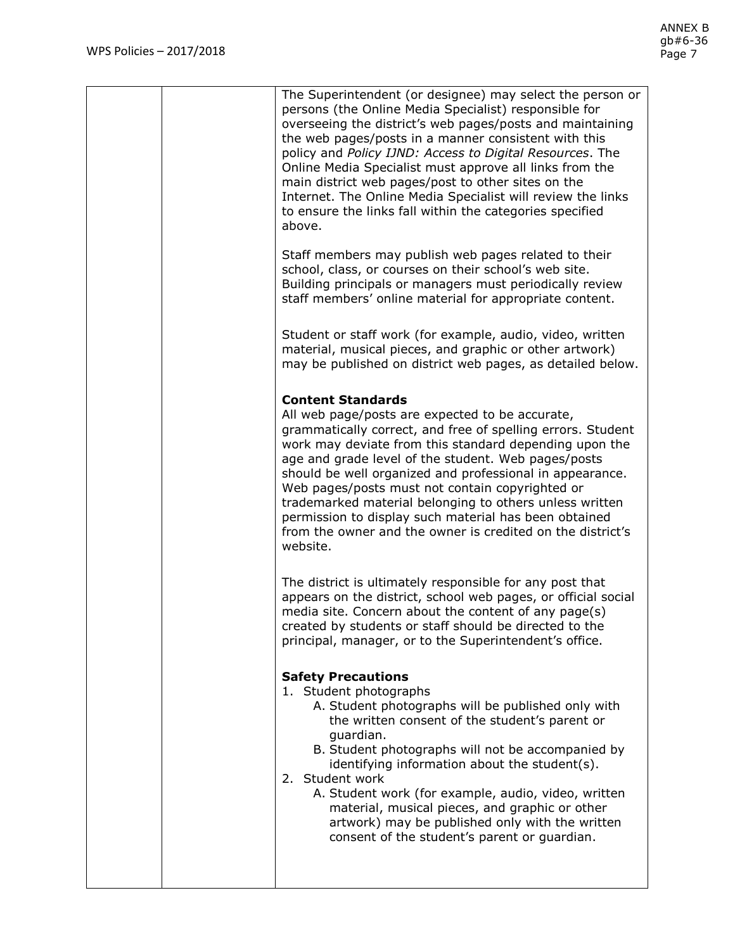| The Superintendent (or designee) may select the person or<br>persons (the Online Media Specialist) responsible for<br>overseeing the district's web pages/posts and maintaining<br>the web pages/posts in a manner consistent with this<br>policy and Policy IJND: Access to Digital Resources. The<br>Online Media Specialist must approve all links from the<br>main district web pages/post to other sites on the<br>Internet. The Online Media Specialist will review the links<br>to ensure the links fall within the categories specified<br>above.                |
|--------------------------------------------------------------------------------------------------------------------------------------------------------------------------------------------------------------------------------------------------------------------------------------------------------------------------------------------------------------------------------------------------------------------------------------------------------------------------------------------------------------------------------------------------------------------------|
| Staff members may publish web pages related to their<br>school, class, or courses on their school's web site.<br>Building principals or managers must periodically review<br>staff members' online material for appropriate content.                                                                                                                                                                                                                                                                                                                                     |
| Student or staff work (for example, audio, video, written<br>material, musical pieces, and graphic or other artwork)<br>may be published on district web pages, as detailed below.                                                                                                                                                                                                                                                                                                                                                                                       |
| <b>Content Standards</b><br>All web page/posts are expected to be accurate,<br>grammatically correct, and free of spelling errors. Student<br>work may deviate from this standard depending upon the<br>age and grade level of the student. Web pages/posts<br>should be well organized and professional in appearance.<br>Web pages/posts must not contain copyrighted or<br>trademarked material belonging to others unless written<br>permission to display such material has been obtained<br>from the owner and the owner is credited on the district's<br>website. |
| The district is ultimately responsible for any post that<br>appears on the district, school web pages, or official social<br>media site. Concern about the content of any page(s)<br>created by students or staff should be directed to the<br>principal, manager, or to the Superintendent's office.                                                                                                                                                                                                                                                                    |
| <b>Safety Precautions</b><br>1. Student photographs<br>A. Student photographs will be published only with<br>the written consent of the student's parent or<br>guardian.<br>B. Student photographs will not be accompanied by<br>identifying information about the student(s).<br>2. Student work<br>A. Student work (for example, audio, video, written<br>material, musical pieces, and graphic or other<br>artwork) may be published only with the written<br>consent of the student's parent or guardian.                                                            |
|                                                                                                                                                                                                                                                                                                                                                                                                                                                                                                                                                                          |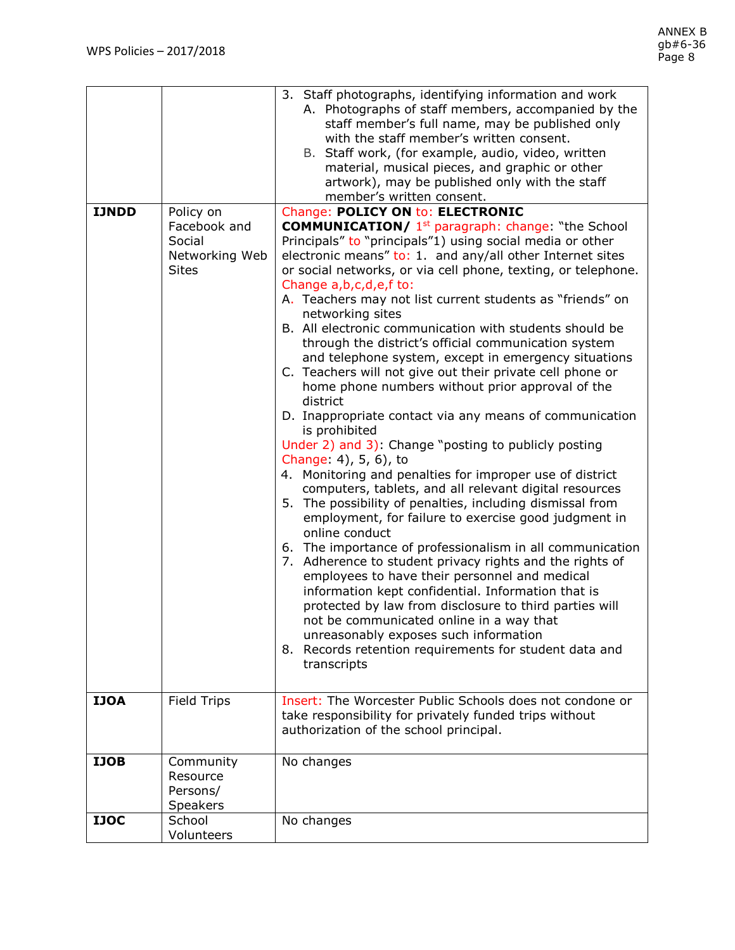|              |                           | 3. Staff photographs, identifying information and work                      |
|--------------|---------------------------|-----------------------------------------------------------------------------|
|              |                           | A. Photographs of staff members, accompanied by the                         |
|              |                           | staff member's full name, may be published only                             |
|              |                           | with the staff member's written consent.                                    |
|              |                           | B. Staff work, (for example, audio, video, written                          |
|              |                           | material, musical pieces, and graphic or other                              |
|              |                           | artwork), may be published only with the staff<br>member's written consent. |
| <b>IJNDD</b> | Policy on                 | <b>Change: POLICY ON to: ELECTRONIC</b>                                     |
|              | Facebook and              | <b>COMMUNICATION/</b> 1 <sup>st</sup> paragraph: change: "the School        |
|              | Social                    | Principals" to "principals"1) using social media or other                   |
|              | Networking Web            | electronic means" to: 1. and any/all other Internet sites                   |
|              | <b>Sites</b>              | or social networks, or via cell phone, texting, or telephone.               |
|              |                           | Change a, b, c, d, e, f to:                                                 |
|              |                           | A. Teachers may not list current students as "friends" on                   |
|              |                           | networking sites                                                            |
|              |                           | B. All electronic communication with students should be                     |
|              |                           | through the district's official communication system                        |
|              |                           | and telephone system, except in emergency situations                        |
|              |                           | C. Teachers will not give out their private cell phone or                   |
|              |                           | home phone numbers without prior approval of the<br>district                |
|              |                           | D. Inappropriate contact via any means of communication                     |
|              |                           | is prohibited                                                               |
|              |                           | Under 2) and 3): Change "posting to publicly posting                        |
|              |                           | Change: 4), 5, 6), to                                                       |
|              |                           | 4. Monitoring and penalties for improper use of district                    |
|              |                           | computers, tablets, and all relevant digital resources                      |
|              |                           | 5. The possibility of penalties, including dismissal from                   |
|              |                           | employment, for failure to exercise good judgment in<br>online conduct      |
|              |                           | 6. The importance of professionalism in all communication                   |
|              |                           | 7. Adherence to student privacy rights and the rights of                    |
|              |                           | employees to have their personnel and medical                               |
|              |                           | information kept confidential. Information that is                          |
|              |                           | protected by law from disclosure to third parties will                      |
|              |                           | not be communicated online in a way that                                    |
|              |                           | unreasonably exposes such information                                       |
|              |                           | 8. Records retention requirements for student data and                      |
|              |                           | transcripts                                                                 |
|              |                           |                                                                             |
| <b>IJOA</b>  | <b>Field Trips</b>        | Insert: The Worcester Public Schools does not condone or                    |
|              |                           | take responsibility for privately funded trips without                      |
|              |                           | authorization of the school principal.                                      |
|              |                           |                                                                             |
| <b>IJOB</b>  | Community                 | No changes                                                                  |
|              | Resource                  |                                                                             |
|              | Persons/                  |                                                                             |
| <b>IJOC</b>  | <b>Speakers</b><br>School | No changes                                                                  |
|              | Volunteers                |                                                                             |
|              |                           |                                                                             |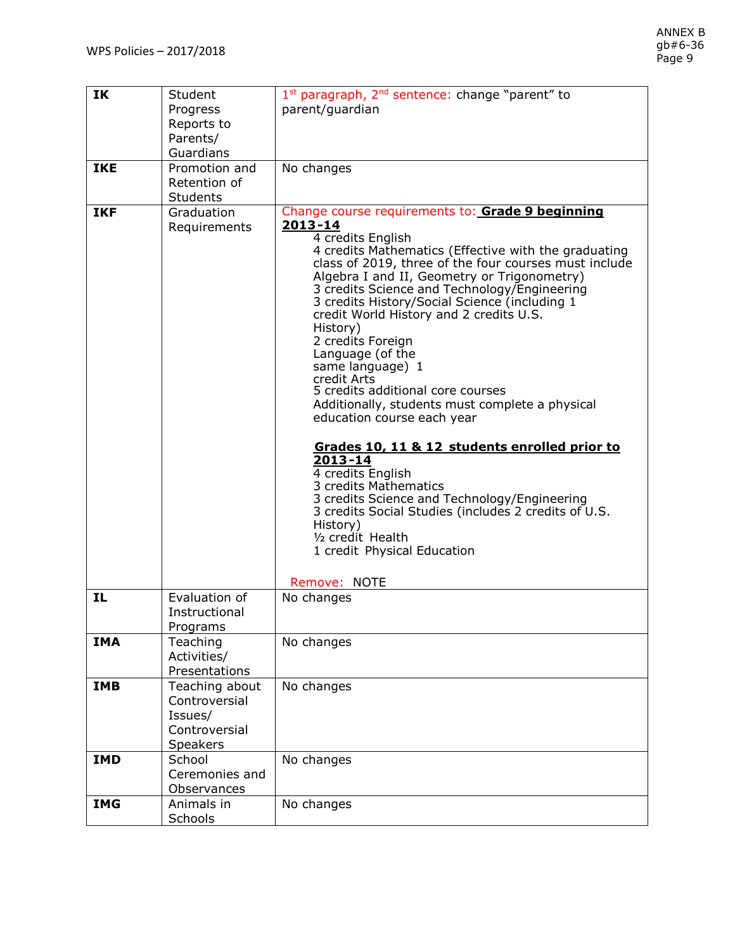| IK         | Student                         | 1st paragraph, 2 <sup>nd</sup> sentence: change "parent" to                                   |
|------------|---------------------------------|-----------------------------------------------------------------------------------------------|
|            | Progress<br>Reports to          | parent/guardian                                                                               |
|            | Parents/                        |                                                                                               |
|            | Guardians                       |                                                                                               |
| <b>IKE</b> | Promotion and                   | No changes                                                                                    |
|            | Retention of<br><b>Students</b> |                                                                                               |
| <b>IKF</b> | Graduation                      | Change course requirements to: Grade 9 beginning                                              |
|            | Requirements                    | 2013-14                                                                                       |
|            |                                 | 4 credits English<br>4 credits Mathematics (Effective with the graduating                     |
|            |                                 | class of 2019, three of the four courses must include                                         |
|            |                                 | Algebra I and II, Geometry or Trigonometry)                                                   |
|            |                                 | 3 credits Science and Technology/Engineering<br>3 credits History/Social Science (including 1 |
|            |                                 | credit World History and 2 credits U.S.                                                       |
|            |                                 | History)<br>2 credits Foreign                                                                 |
|            |                                 | Language (of the                                                                              |
|            |                                 | same language) 1                                                                              |
|            |                                 | credit Arts<br>5 credits additional core courses                                              |
|            |                                 | Additionally, students must complete a physical                                               |
|            |                                 | education course each year                                                                    |
|            |                                 | Grades 10, 11 & 12 students enrolled prior to                                                 |
|            |                                 | $2013 - 14$                                                                                   |
|            |                                 | 4 credits English<br>3 credits Mathematics                                                    |
|            |                                 | 3 credits Science and Technology/Engineering                                                  |
|            |                                 | 3 credits Social Studies (includes 2 credits of U.S.                                          |
|            |                                 | History)<br>1/ <sub>2</sub> credit Health                                                     |
|            |                                 | 1 credit Physical Education                                                                   |
|            |                                 | Remove: NOTE                                                                                  |
| IL         | Evaluation of                   | No changes                                                                                    |
|            | Instructional                   |                                                                                               |
| <b>IMA</b> | Programs<br>Teaching            | No changes                                                                                    |
|            | Activities/                     |                                                                                               |
|            | Presentations                   |                                                                                               |
| <b>IMB</b> | Teaching about                  | No changes                                                                                    |
|            | Controversial                   |                                                                                               |
|            | Issues/<br>Controversial        |                                                                                               |
|            | Speakers                        |                                                                                               |
| <b>IMD</b> | School                          | No changes                                                                                    |
|            | Ceremonies and                  |                                                                                               |
|            | Observances                     |                                                                                               |
| <b>IMG</b> | Animals in<br>Schools           | No changes                                                                                    |
|            |                                 |                                                                                               |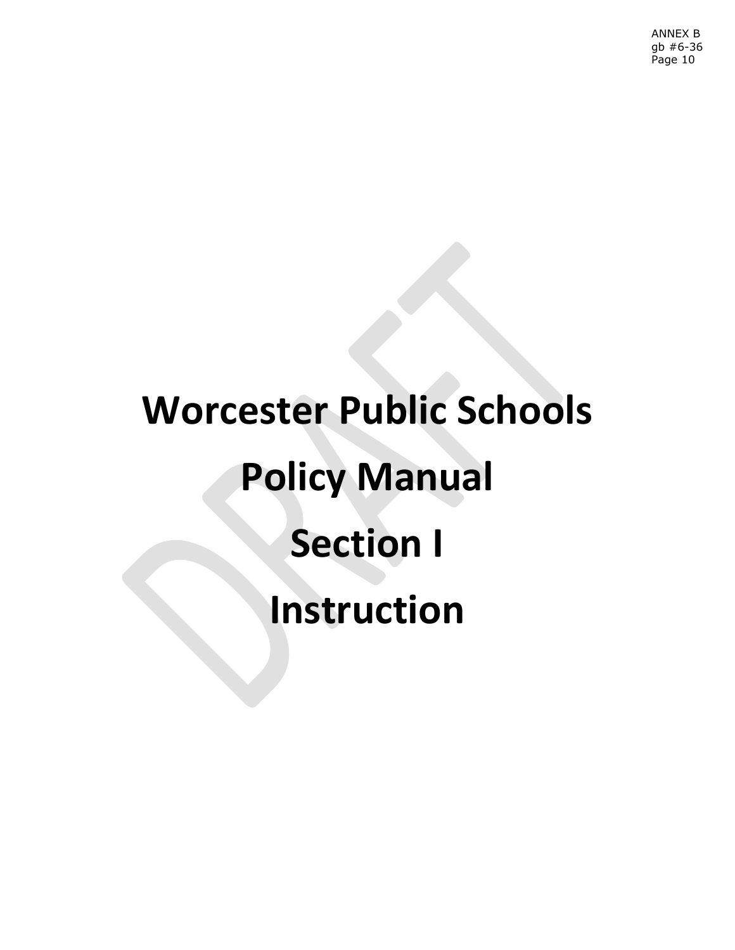# **Worcester Public Schools Policy Manual Section I Instruction**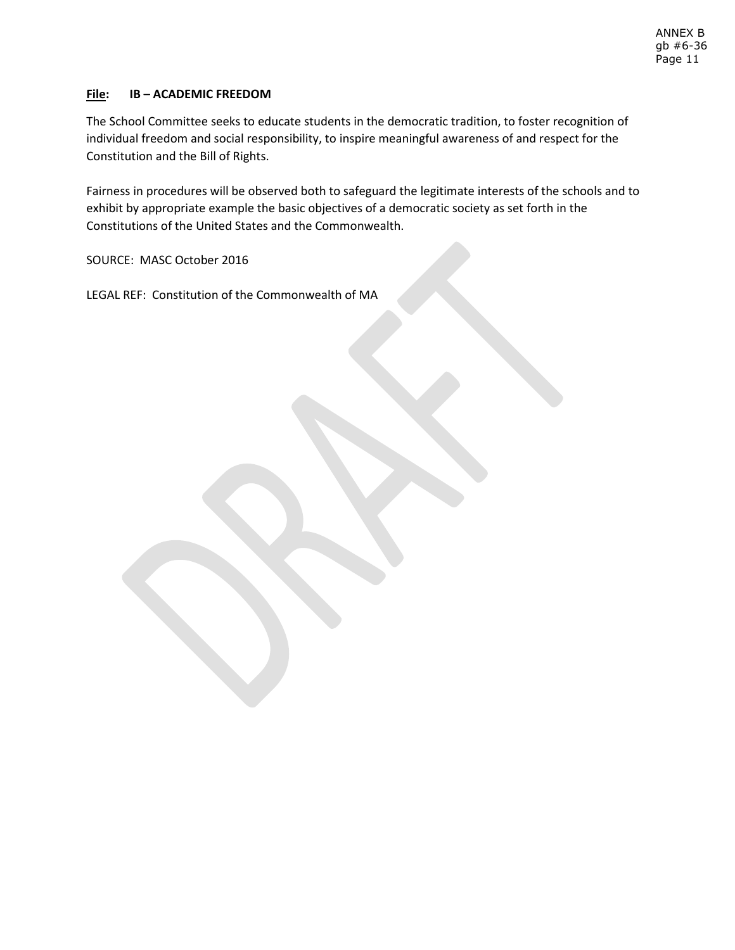## **File: IB – ACADEMIC FREEDOM**

The School Committee seeks to educate students in the democratic tradition, to foster recognition of individual freedom and social responsibility, to inspire meaningful awareness of and respect for the Constitution and the Bill of Rights.

Fairness in procedures will be observed both to safeguard the legitimate interests of the schools and to exhibit by appropriate example the basic objectives of a democratic society as set forth in the Constitutions of the United States and the Commonwealth.

SOURCE: MASC October 2016

LEGAL REF: Constitution of the Commonwealth of MA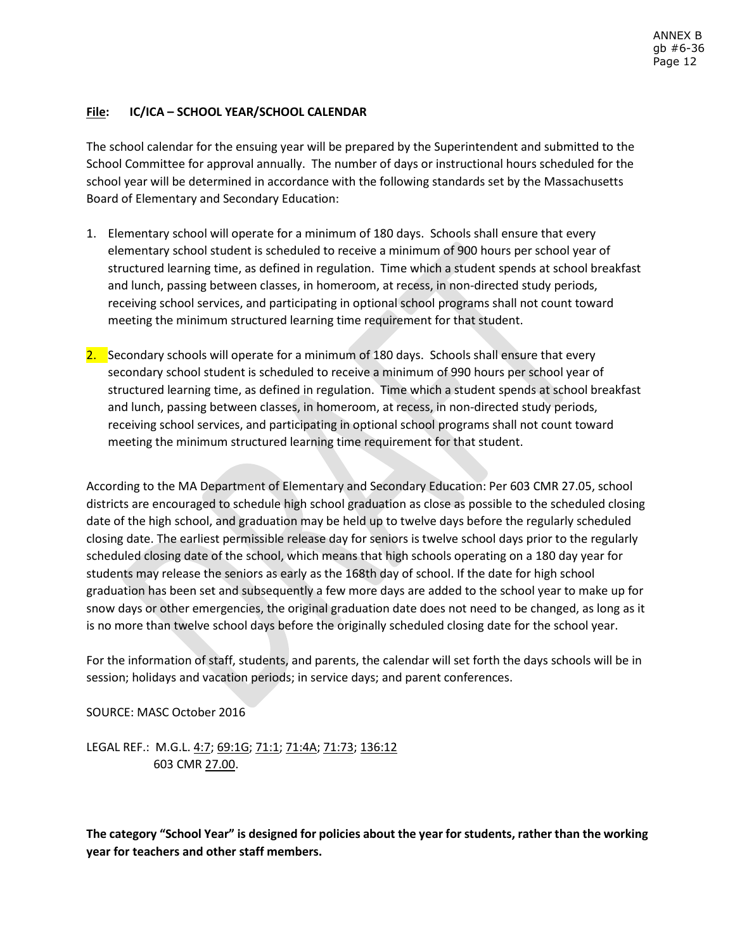# **File: IC/ICA – SCHOOL YEAR/SCHOOL CALENDAR**

The school calendar for the ensuing year will be prepared by the Superintendent and submitted to the School Committee for approval annually. The number of days or instructional hours scheduled for the school year will be determined in accordance with the following standards set by the Massachusetts Board of Elementary and Secondary Education:

- 1. Elementary school will operate for a minimum of 180 days. Schools shall ensure that every elementary school student is scheduled to receive a minimum of 900 hours per school year of structured learning time, as defined in regulation. Time which a student spends at school breakfast and lunch, passing between classes, in homeroom, at recess, in non-directed study periods, receiving school services, and participating in optional school programs shall not count toward meeting the minimum structured learning time requirement for that student.
- 2. Secondary schools will operate for a minimum of 180 days. Schools shall ensure that every secondary school student is scheduled to receive a minimum of 990 hours per school year of structured learning time, as defined in regulation. Time which a student spends at school breakfast and lunch, passing between classes, in homeroom, at recess, in non-directed study periods, receiving school services, and participating in optional school programs shall not count toward meeting the minimum structured learning time requirement for that student.

According to the MA Department of Elementary and Secondary Education: Per 603 CMR 27.05, school districts are encouraged to schedule high school graduation as close as possible to the scheduled closing date of the high school, and graduation may be held up to twelve days before the regularly scheduled closing date. The earliest permissible release day for seniors is twelve school days prior to the regularly scheduled closing date of the school, which means that high schools operating on a 180 day year for students may release the seniors as early as the 168th day of school. If the date for high school graduation has been set and subsequently a few more days are added to the school year to make up for snow days or other emergencies, the original graduation date does not need to be changed, as long as it is no more than twelve school days before the originally scheduled closing date for the school year.

For the information of staff, students, and parents, the calendar will set forth the days schools will be in session; holidays and vacation periods; in service days; and parent conferences.

SOURCE: MASC October 2016

LEGAL REF.: M.G.L. 4:7; 69:1G; 71:1; 71:4A; 71:73; 136:12 603 CMR 27.00.

**The category "School Year" is designed for policies about the year for students, rather than the working year for teachers and other staff members.**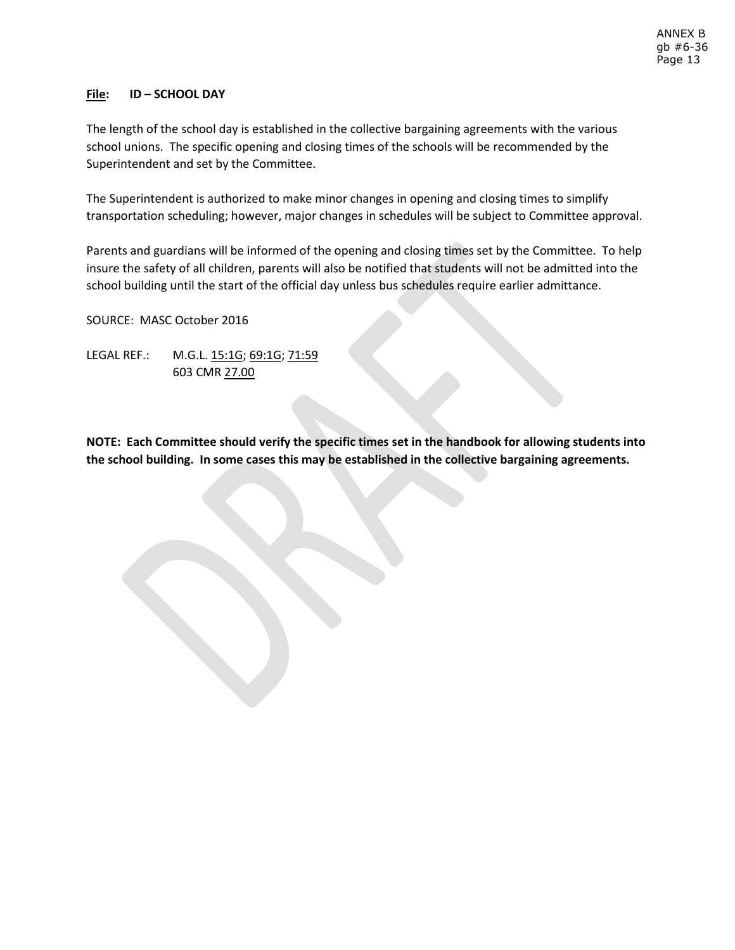## **File: ID – SCHOOL DAY**

The length of the school day is established in the collective bargaining agreements with the various school unions. The specific opening and closing times of the schools will be recommended by the Superintendent and set by the Committee.

The Superintendent is authorized to make minor changes in opening and closing times to simplify transportation scheduling; however, major changes in schedules will be subject to Committee approval.

Parents and guardians will be informed of the opening and closing times set by the Committee. To help insure the safety of all children, parents will also be notified that students will not be admitted into the school building until the start of the official day unless bus schedules require earlier admittance.

SOURCE: MASC October 2016

LEGAL REF.: M.G.L. 15:1G; 69:1G; 71:59 603 CMR 27.00

**NOTE: Each Committee should verify the specific times set in the handbook for allowing students into the school building. In some cases this may be established in the collective bargaining agreements.**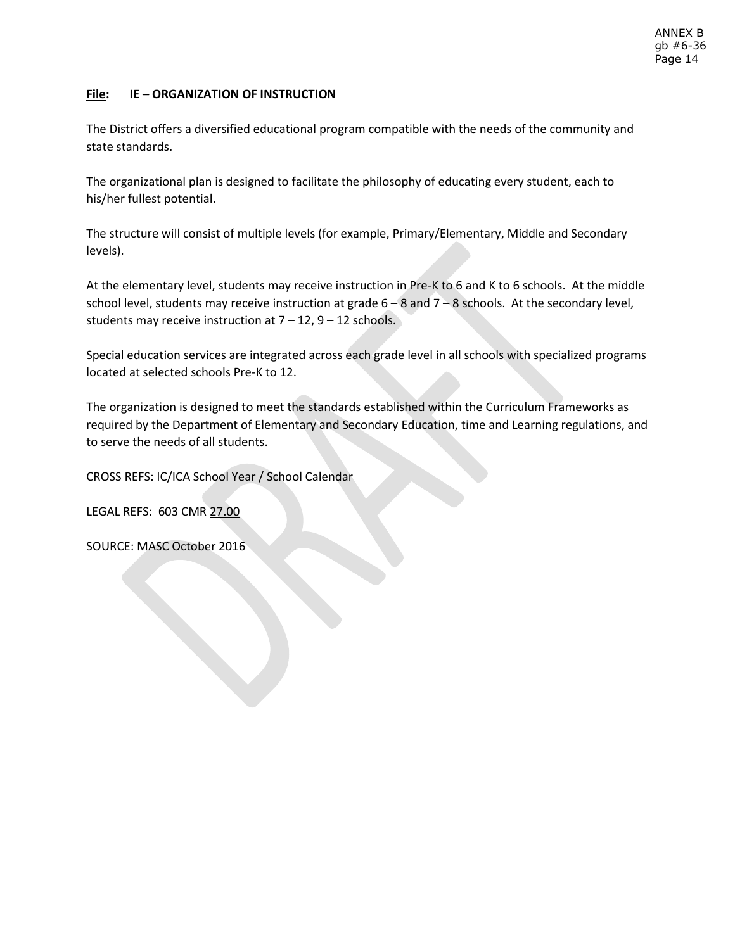# **File: IE – ORGANIZATION OF INSTRUCTION**

The District offers a diversified educational program compatible with the needs of the community and state standards.

The organizational plan is designed to facilitate the philosophy of educating every student, each to his/her fullest potential.

The structure will consist of multiple levels (for example, Primary/Elementary, Middle and Secondary levels).

At the elementary level, students may receive instruction in Pre-K to 6 and K to 6 schools. At the middle school level, students may receive instruction at grade 6 – 8 and 7 – 8 schools. At the secondary level, students may receive instruction at  $7 - 12$ ,  $9 - 12$  schools.

Special education services are integrated across each grade level in all schools with specialized programs located at selected schools Pre-K to 12.

The organization is designed to meet the standards established within the Curriculum Frameworks as required by the Department of Elementary and Secondary Education, time and Learning regulations, and to serve the needs of all students.

CROSS REFS: IC/ICA School Year / School Calendar

LEGAL REFS: 603 CMR 27.00

SOURCE: MASC October 2016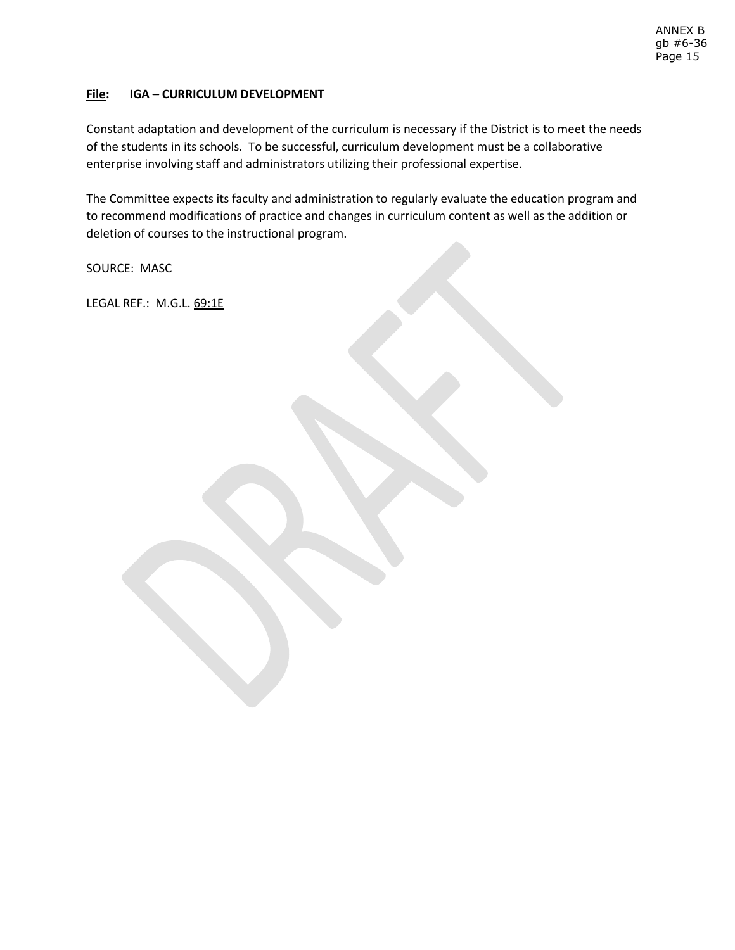# **File: IGA – CURRICULUM DEVELOPMENT**

Constant adaptation and development of the curriculum is necessary if the District is to meet the needs of the students in its schools. To be successful, curriculum development must be a collaborative enterprise involving staff and administrators utilizing their professional expertise.

The Committee expects its faculty and administration to regularly evaluate the education program and to recommend modifications of practice and changes in curriculum content as well as the addition or deletion of courses to the instructional program.

SOURCE: MASC

LEGAL REF.: M.G.L. 69:1E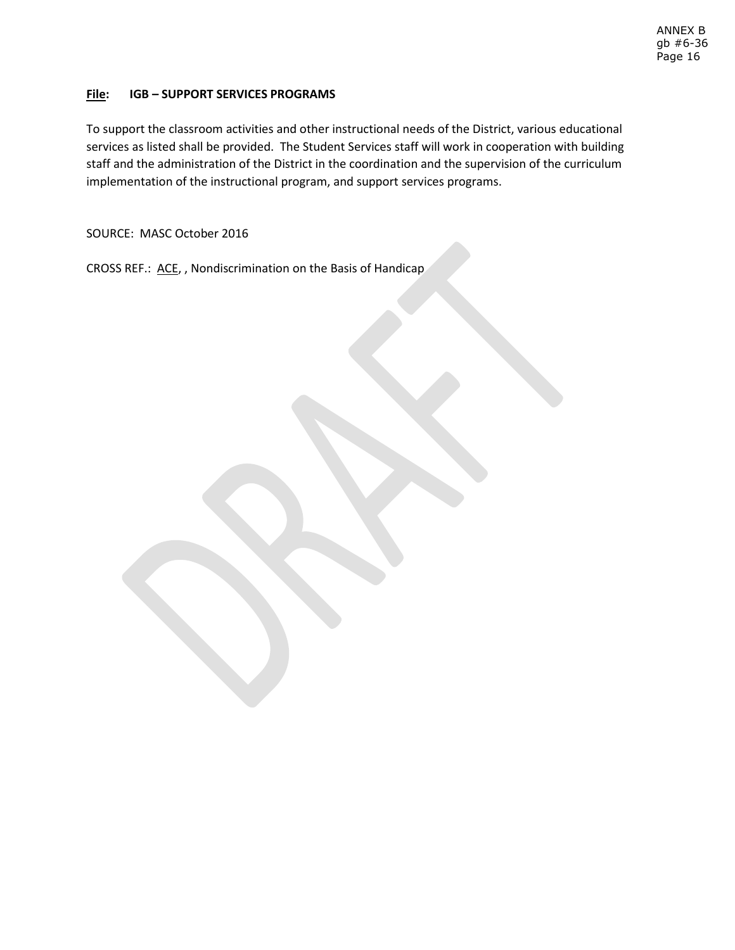# **File: IGB – SUPPORT SERVICES PROGRAMS**

To support the classroom activities and other instructional needs of the District, various educational services as listed shall be provided. The Student Services staff will work in cooperation with building staff and the administration of the District in the coordination and the supervision of the curriculum implementation of the instructional program, and support services programs.

SOURCE: MASC October 2016

CROSS REF.: ACE, , Nondiscrimination on the Basis of Handicap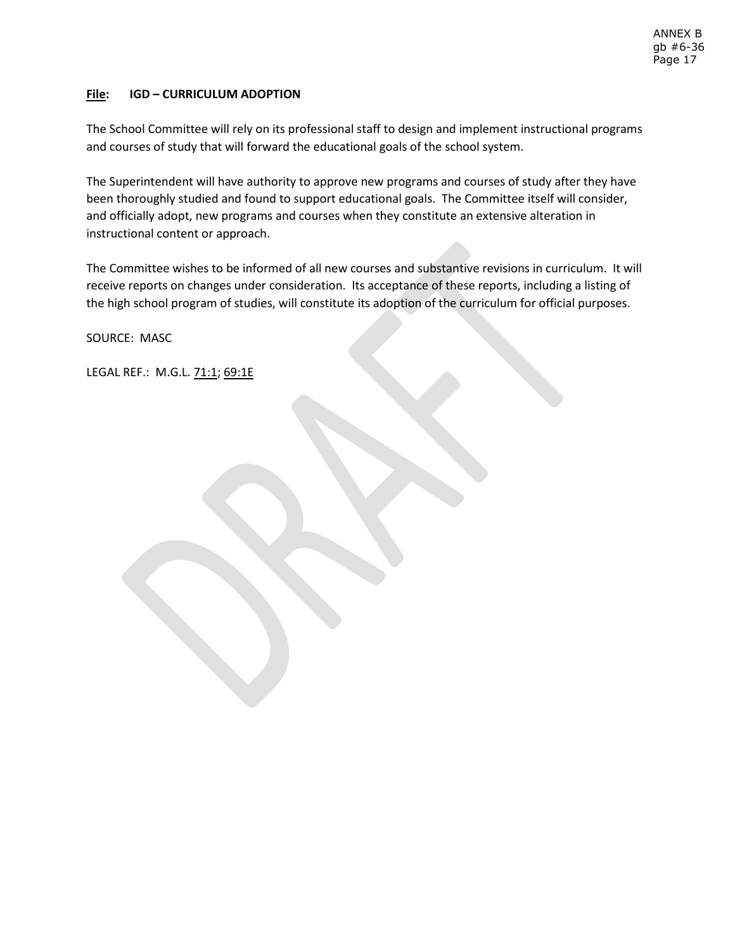# **File: IGD – CURRICULUM ADOPTION**

The School Committee will rely on its professional staff to design and implement instructional programs and courses of study that will forward the educational goals of the school system.

The Superintendent will have authority to approve new programs and courses of study after they have been thoroughly studied and found to support educational goals. The Committee itself will consider, and officially adopt, new programs and courses when they constitute an extensive alteration in instructional content or approach.

The Committee wishes to be informed of all new courses and substantive revisions in curriculum. It will receive reports on changes under consideration. Its acceptance of these reports, including a listing of the high school program of studies, will constitute its adoption of the curriculum for official purposes.

SOURCE: MASC

LEGAL REF.: M.G.L. 71:1; 69:1E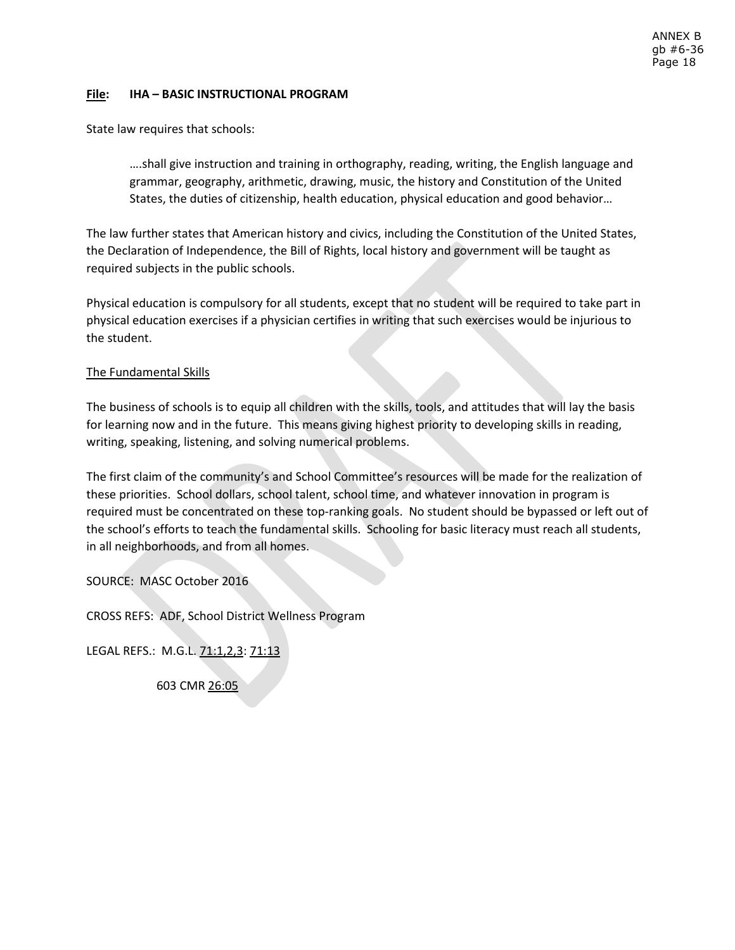## **File: IHA – BASIC INSTRUCTIONAL PROGRAM**

State law requires that schools:

….shall give instruction and training in orthography, reading, writing, the English language and grammar, geography, arithmetic, drawing, music, the history and Constitution of the United States, the duties of citizenship, health education, physical education and good behavior…

The law further states that American history and civics, including the Constitution of the United States, the Declaration of Independence, the Bill of Rights, local history and government will be taught as required subjects in the public schools.

Physical education is compulsory for all students, except that no student will be required to take part in physical education exercises if a physician certifies in writing that such exercises would be injurious to the student.

## The Fundamental Skills

The business of schools is to equip all children with the skills, tools, and attitudes that will lay the basis for learning now and in the future. This means giving highest priority to developing skills in reading, writing, speaking, listening, and solving numerical problems.

The first claim of the community's and School Committee's resources will be made for the realization of these priorities. School dollars, school talent, school time, and whatever innovation in program is required must be concentrated on these top-ranking goals. No student should be bypassed or left out of the school's efforts to teach the fundamental skills. Schooling for basic literacy must reach all students, in all neighborhoods, and from all homes.

SOURCE: MASC October 2016

CROSS REFS: ADF, School District Wellness Program

LEGAL REFS.: M.G.L. 71:1,2,3: 71:13

603 CMR 26:05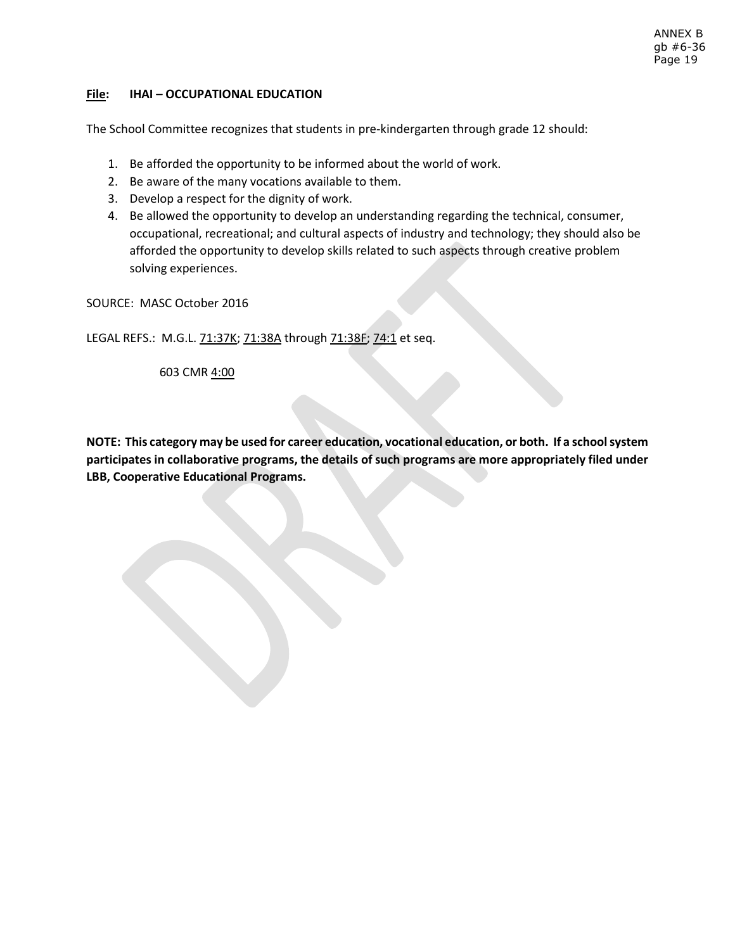#### ANNEX B gb #6-36 Page 19

## **File: IHAI – OCCUPATIONAL EDUCATION**

The School Committee recognizes that students in pre-kindergarten through grade 12 should:

- 1. Be afforded the opportunity to be informed about the world of work.
- 2. Be aware of the many vocations available to them.
- 3. Develop a respect for the dignity of work.
- 4. Be allowed the opportunity to develop an understanding regarding the technical, consumer, occupational, recreational; and cultural aspects of industry and technology; they should also be afforded the opportunity to develop skills related to such aspects through creative problem solving experiences.

SOURCE: MASC October 2016

LEGAL REFS.: M.G.L. 71:37K; 71:38A through 71:38F; 74:1 et seq.

603 CMR 4:00

**NOTE: This category may be used for career education, vocational education, or both. If a school system participates in collaborative programs, the details of such programs are more appropriately filed under LBB, Cooperative Educational Programs.**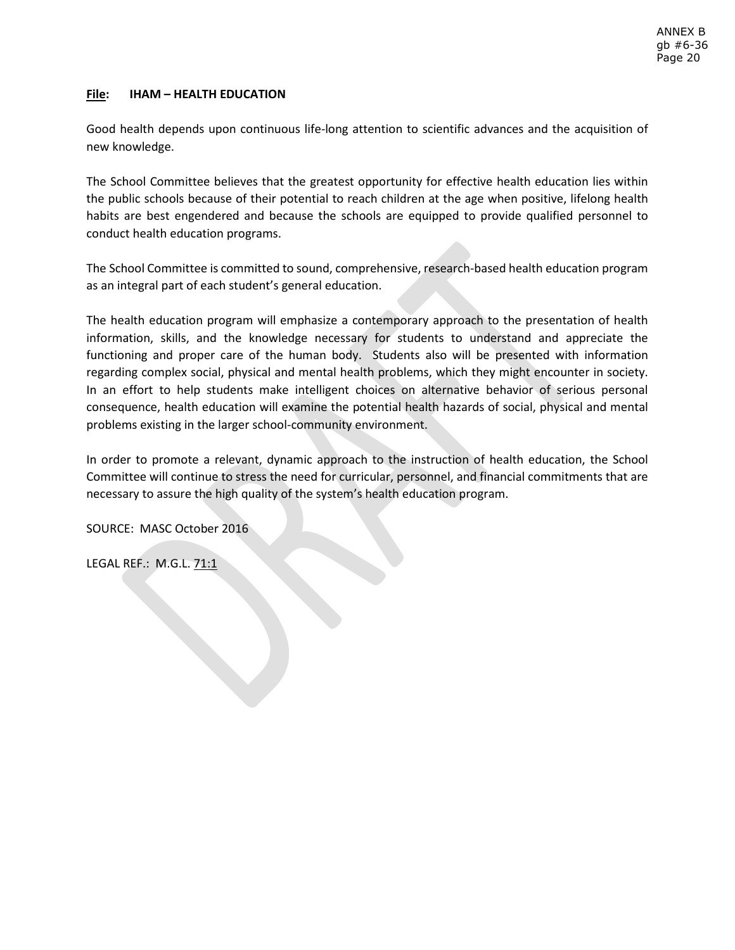# **File: IHAM – HEALTH EDUCATION**

Good health depends upon continuous life-long attention to scientific advances and the acquisition of new knowledge.

The School Committee believes that the greatest opportunity for effective health education lies within the public schools because of their potential to reach children at the age when positive, lifelong health habits are best engendered and because the schools are equipped to provide qualified personnel to conduct health education programs.

The School Committee is committed to sound, comprehensive, research-based health education program as an integral part of each student's general education.

The health education program will emphasize a contemporary approach to the presentation of health information, skills, and the knowledge necessary for students to understand and appreciate the functioning and proper care of the human body. Students also will be presented with information regarding complex social, physical and mental health problems, which they might encounter in society. In an effort to help students make intelligent choices on alternative behavior of serious personal consequence, health education will examine the potential health hazards of social, physical and mental problems existing in the larger school-community environment.

In order to promote a relevant, dynamic approach to the instruction of health education, the School Committee will continue to stress the need for curricular, personnel, and financial commitments that are necessary to assure the high quality of the system's health education program.

SOURCE: MASC October 2016

LEGAL REF.: M.G.L. 71:1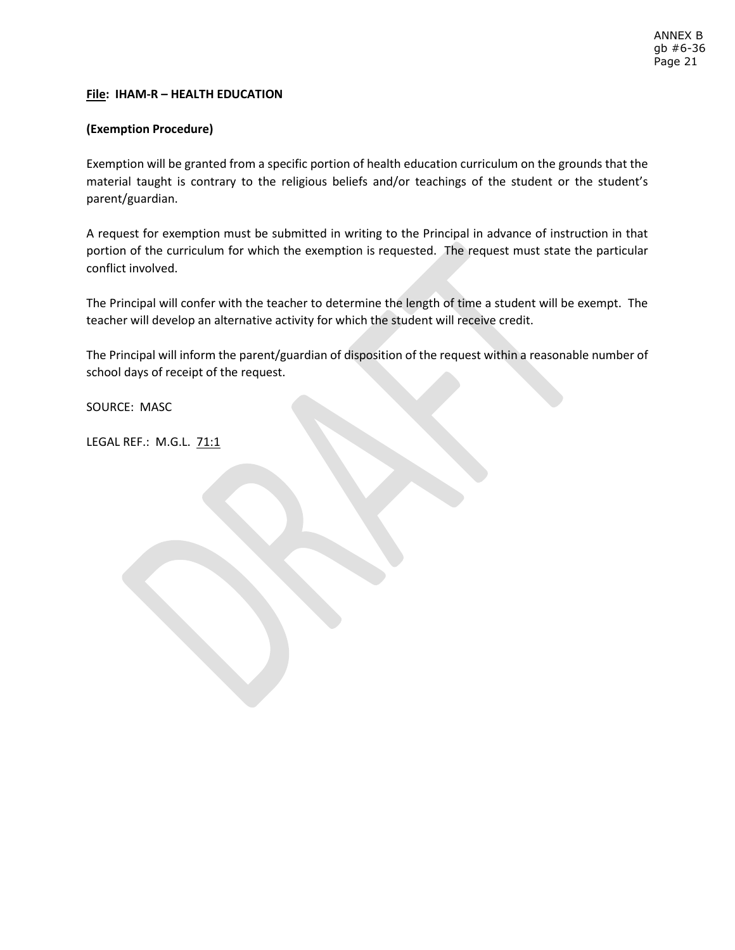## **File: IHAM-R – HEALTH EDUCATION**

## **(Exemption Procedure)**

Exemption will be granted from a specific portion of health education curriculum on the grounds that the material taught is contrary to the religious beliefs and/or teachings of the student or the student's parent/guardian.

A request for exemption must be submitted in writing to the Principal in advance of instruction in that portion of the curriculum for which the exemption is requested. The request must state the particular conflict involved.

The Principal will confer with the teacher to determine the length of time a student will be exempt. The teacher will develop an alternative activity for which the student will receive credit.

The Principal will inform the parent/guardian of disposition of the request within a reasonable number of school days of receipt of the request.

SOURCE: MASC

LEGAL REF.: M.G.L. 71:1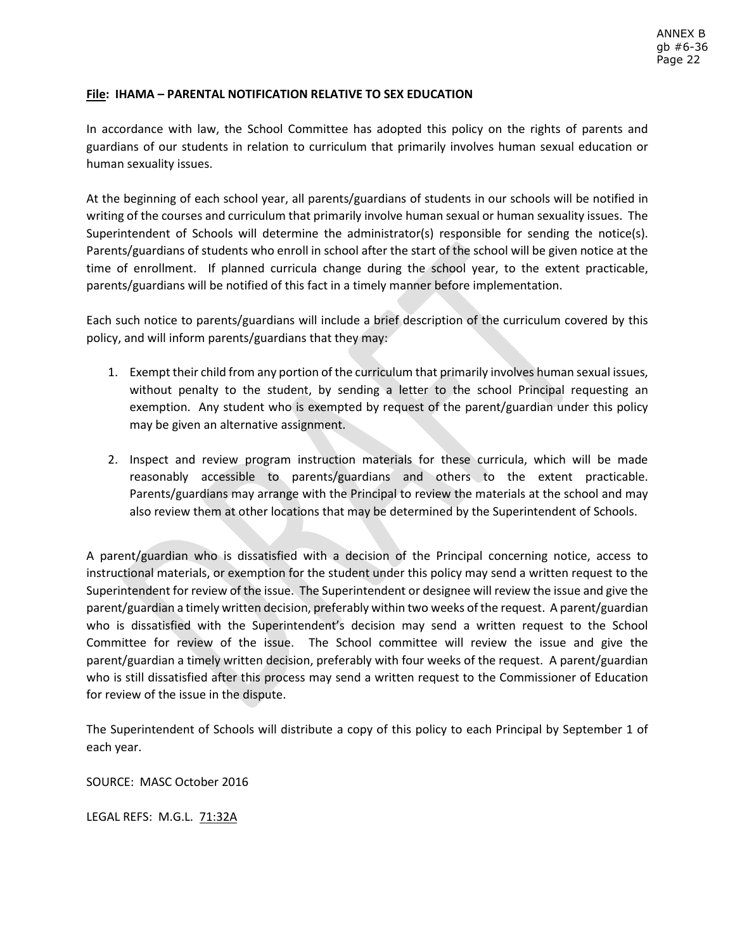## **File: IHAMA – PARENTAL NOTIFICATION RELATIVE TO SEX EDUCATION**

In accordance with law, the School Committee has adopted this policy on the rights of parents and guardians of our students in relation to curriculum that primarily involves human sexual education or human sexuality issues.

At the beginning of each school year, all parents/guardians of students in our schools will be notified in writing of the courses and curriculum that primarily involve human sexual or human sexuality issues. The Superintendent of Schools will determine the administrator(s) responsible for sending the notice(s). Parents/guardians of students who enroll in school after the start of the school will be given notice at the time of enrollment. If planned curricula change during the school year, to the extent practicable, parents/guardians will be notified of this fact in a timely manner before implementation.

Each such notice to parents/guardians will include a brief description of the curriculum covered by this policy, and will inform parents/guardians that they may:

- 1. Exempt their child from any portion of the curriculum that primarily involves human sexual issues, without penalty to the student, by sending a letter to the school Principal requesting an exemption. Any student who is exempted by request of the parent/guardian under this policy may be given an alternative assignment.
- 2. Inspect and review program instruction materials for these curricula, which will be made reasonably accessible to parents/guardians and others to the extent practicable. Parents/guardians may arrange with the Principal to review the materials at the school and may also review them at other locations that may be determined by the Superintendent of Schools.

A parent/guardian who is dissatisfied with a decision of the Principal concerning notice, access to instructional materials, or exemption for the student under this policy may send a written request to the Superintendent for review of the issue. The Superintendent or designee will review the issue and give the parent/guardian a timely written decision, preferably within two weeks of the request. A parent/guardian who is dissatisfied with the Superintendent's decision may send a written request to the School Committee for review of the issue. The School committee will review the issue and give the parent/guardian a timely written decision, preferably with four weeks of the request. A parent/guardian who is still dissatisfied after this process may send a written request to the Commissioner of Education for review of the issue in the dispute.

The Superintendent of Schools will distribute a copy of this policy to each Principal by September 1 of each year.

SOURCE: MASC October 2016

LEGAL REFS: M.G.L. 71:32A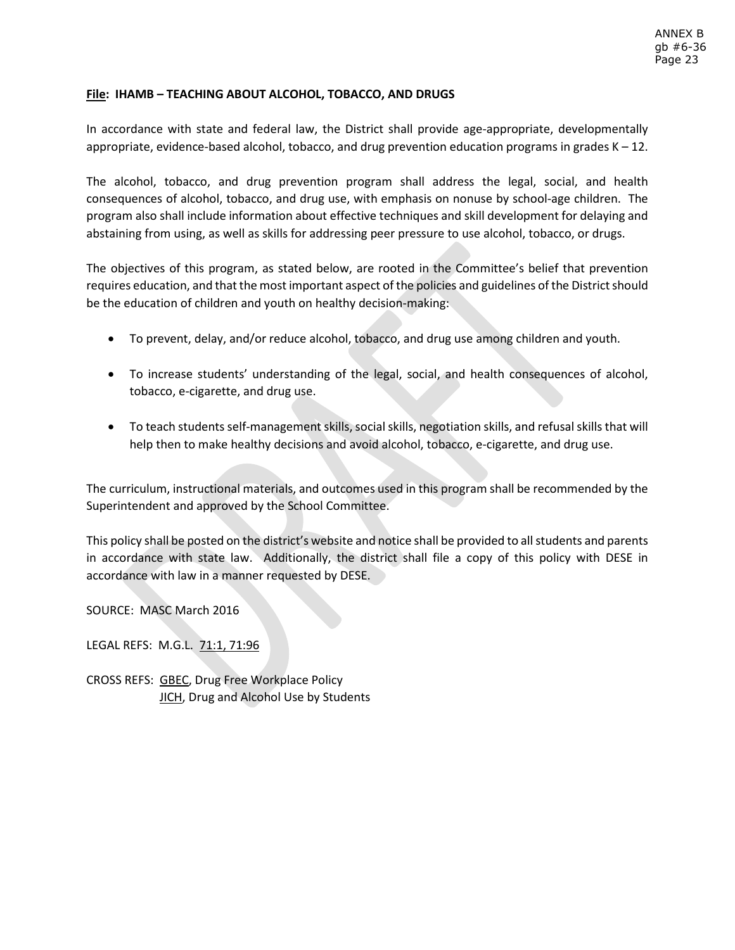## **File: IHAMB – TEACHING ABOUT ALCOHOL, TOBACCO, AND DRUGS**

In accordance with state and federal law, the District shall provide age-appropriate, developmentally appropriate, evidence-based alcohol, tobacco, and drug prevention education programs in grades  $K - 12$ .

The alcohol, tobacco, and drug prevention program shall address the legal, social, and health consequences of alcohol, tobacco, and drug use, with emphasis on nonuse by school-age children. The program also shall include information about effective techniques and skill development for delaying and abstaining from using, as well as skills for addressing peer pressure to use alcohol, tobacco, or drugs.

The objectives of this program, as stated below, are rooted in the Committee's belief that prevention requires education, and that the most important aspect of the policies and guidelines of the District should be the education of children and youth on healthy decision-making:

- To prevent, delay, and/or reduce alcohol, tobacco, and drug use among children and youth.
- To increase students' understanding of the legal, social, and health consequences of alcohol, tobacco, e-cigarette, and drug use.
- To teach students self-management skills, social skills, negotiation skills, and refusal skills that will help then to make healthy decisions and avoid alcohol, tobacco, e-cigarette, and drug use.

The curriculum, instructional materials, and outcomes used in this program shall be recommended by the Superintendent and approved by the School Committee.

This policy shall be posted on the district's website and notice shall be provided to all students and parents in accordance with state law. Additionally, the district shall file a copy of this policy with DESE in accordance with law in a manner requested by DESE.

SOURCE: MASC March 2016

LEGAL REFS: M.G.L. 71:1, 71:96

CROSS REFS: GBEC, Drug Free Workplace Policy **JICH**, Drug and Alcohol Use by Students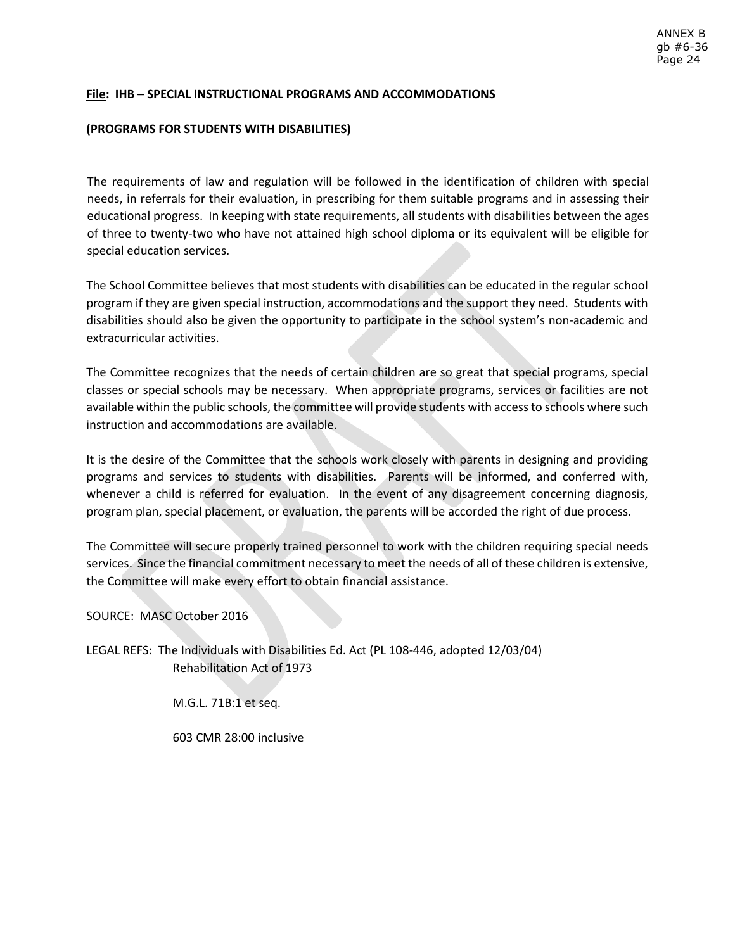## **File: IHB – SPECIAL INSTRUCTIONAL PROGRAMS AND ACCOMMODATIONS**

#### **(PROGRAMS FOR STUDENTS WITH DISABILITIES)**

The requirements of law and regulation will be followed in the identification of children with special needs, in referrals for their evaluation, in prescribing for them suitable programs and in assessing their educational progress. In keeping with state requirements, all students with disabilities between the ages of three to twenty-two who have not attained high school diploma or its equivalent will be eligible for special education services.

The School Committee believes that most students with disabilities can be educated in the regular school program if they are given special instruction, accommodations and the support they need. Students with disabilities should also be given the opportunity to participate in the school system's non-academic and extracurricular activities.

The Committee recognizes that the needs of certain children are so great that special programs, special classes or special schools may be necessary. When appropriate programs, services or facilities are not available within the public schools, the committee will provide students with access to schools where such instruction and accommodations are available.

It is the desire of the Committee that the schools work closely with parents in designing and providing programs and services to students with disabilities. Parents will be informed, and conferred with, whenever a child is referred for evaluation. In the event of any disagreement concerning diagnosis, program plan, special placement, or evaluation, the parents will be accorded the right of due process.

The Committee will secure properly trained personnel to work with the children requiring special needs services. Since the financial commitment necessary to meet the needs of all of these children is extensive, the Committee will make every effort to obtain financial assistance.

SOURCE: MASC October 2016

LEGAL REFS: The Individuals with Disabilities Ed. Act (PL 108-446, adopted 12/03/04) Rehabilitation Act of 1973

M.G.L. 71B:1 et seq.

603 CMR 28:00 inclusive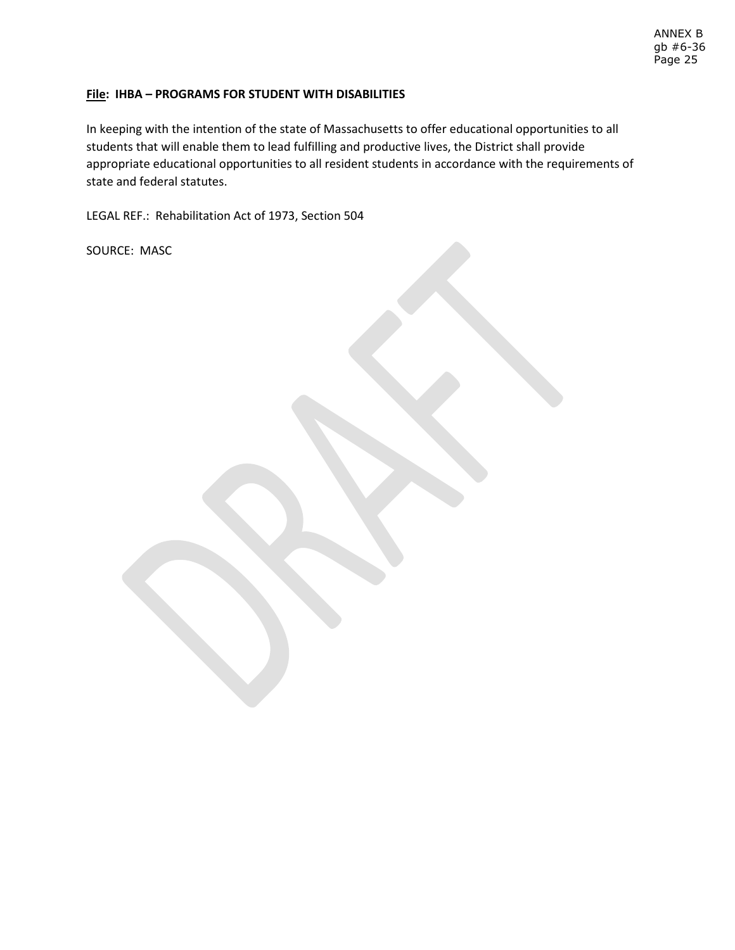#### ANNEX B gb #6-36 Page 25

## **File: IHBA – PROGRAMS FOR STUDENT WITH DISABILITIES**

In keeping with the intention of the state of Massachusetts to offer educational opportunities to all students that will enable them to lead fulfilling and productive lives, the District shall provide appropriate educational opportunities to all resident students in accordance with the requirements of state and federal statutes.

LEGAL REF.: Rehabilitation Act of 1973, Section 504

SOURCE: MASC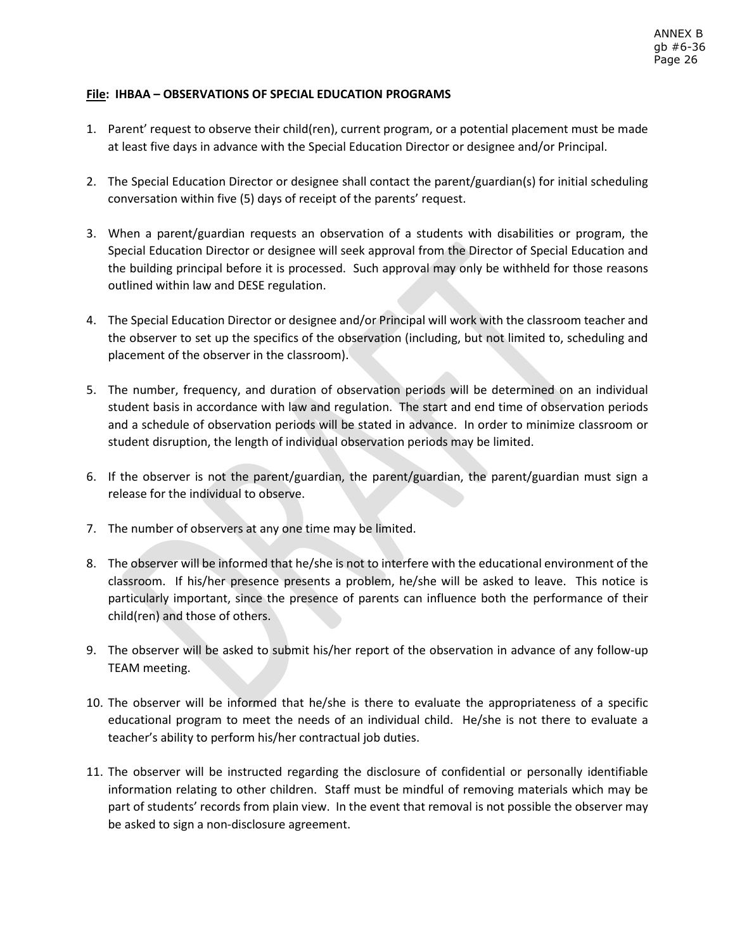# **File: IHBAA – OBSERVATIONS OF SPECIAL EDUCATION PROGRAMS**

- 1. Parent' request to observe their child(ren), current program, or a potential placement must be made at least five days in advance with the Special Education Director or designee and/or Principal.
- 2. The Special Education Director or designee shall contact the parent/guardian(s) for initial scheduling conversation within five (5) days of receipt of the parents' request.
- 3. When a parent/guardian requests an observation of a students with disabilities or program, the Special Education Director or designee will seek approval from the Director of Special Education and the building principal before it is processed. Such approval may only be withheld for those reasons outlined within law and DESE regulation.
- 4. The Special Education Director or designee and/or Principal will work with the classroom teacher and the observer to set up the specifics of the observation (including, but not limited to, scheduling and placement of the observer in the classroom).
- 5. The number, frequency, and duration of observation periods will be determined on an individual student basis in accordance with law and regulation. The start and end time of observation periods and a schedule of observation periods will be stated in advance. In order to minimize classroom or student disruption, the length of individual observation periods may be limited.
- 6. If the observer is not the parent/guardian, the parent/guardian, the parent/guardian must sign a release for the individual to observe.
- 7. The number of observers at any one time may be limited.
- 8. The observer will be informed that he/she is not to interfere with the educational environment of the classroom. If his/her presence presents a problem, he/she will be asked to leave. This notice is particularly important, since the presence of parents can influence both the performance of their child(ren) and those of others.
- 9. The observer will be asked to submit his/her report of the observation in advance of any follow-up TEAM meeting.
- 10. The observer will be informed that he/she is there to evaluate the appropriateness of a specific educational program to meet the needs of an individual child. He/she is not there to evaluate a teacher's ability to perform his/her contractual job duties.
- 11. The observer will be instructed regarding the disclosure of confidential or personally identifiable information relating to other children. Staff must be mindful of removing materials which may be part of students' records from plain view. In the event that removal is not possible the observer may be asked to sign a non-disclosure agreement.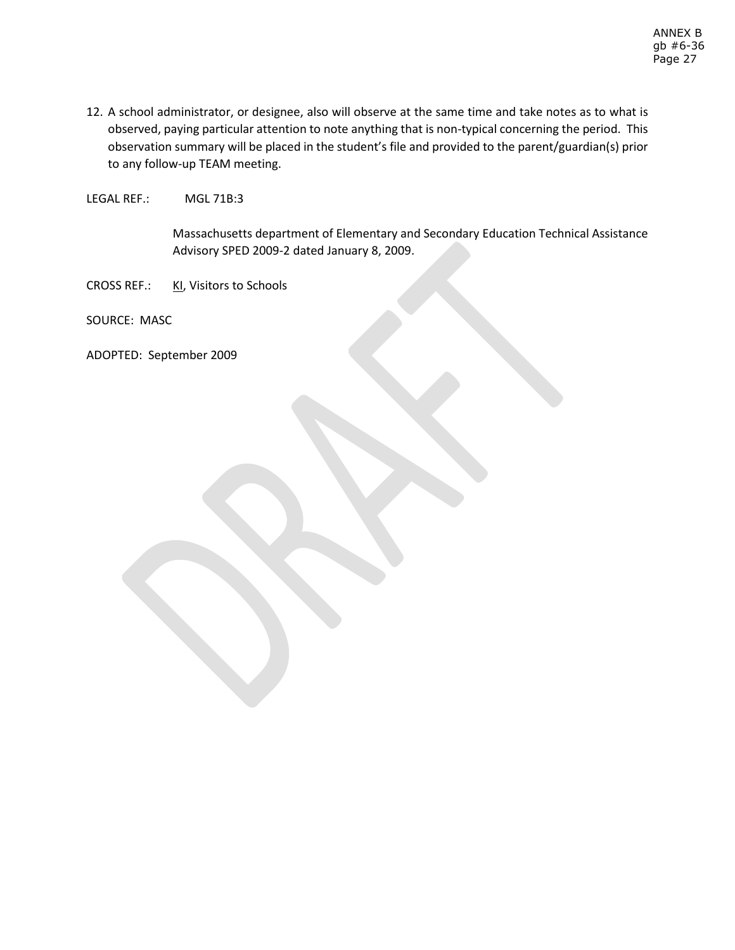12. A school administrator, or designee, also will observe at the same time and take notes as to what is observed, paying particular attention to note anything that is non-typical concerning the period. This observation summary will be placed in the student's file and provided to the parent/guardian(s) prior to any follow-up TEAM meeting.

LEGAL REF.: MGL 71B:3

Massachusetts department of Elementary and Secondary Education Technical Assistance Advisory SPED 2009-2 dated January 8, 2009.

CROSS REF.: KI, Visitors to Schools

SOURCE: MASC

ADOPTED: September 2009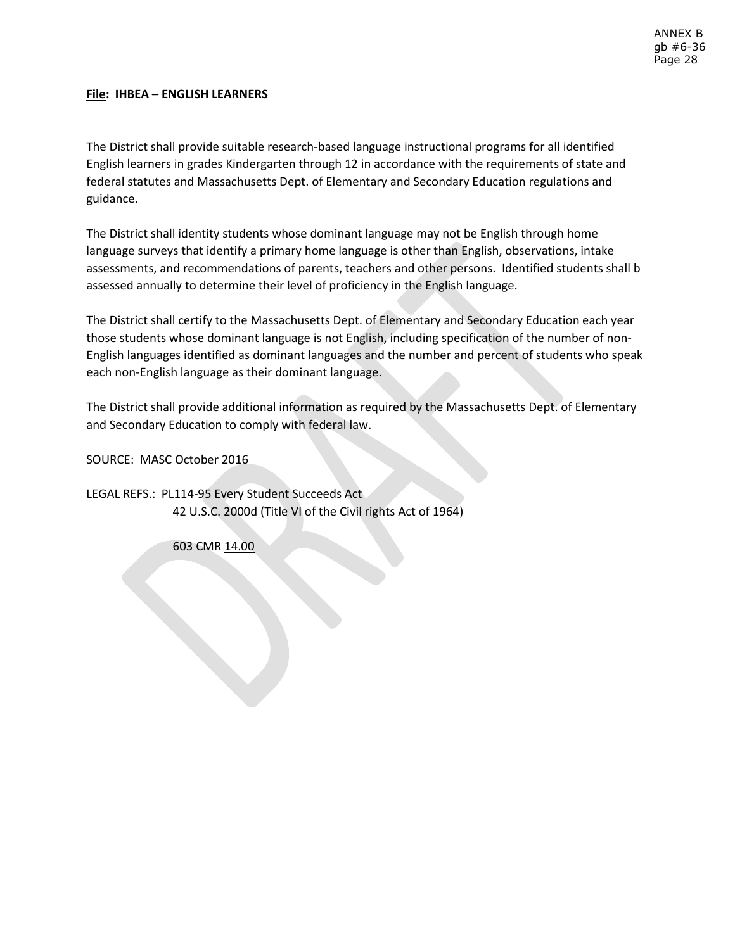## **File: IHBEA – ENGLISH LEARNERS**

The District shall provide suitable research-based language instructional programs for all identified English learners in grades Kindergarten through 12 in accordance with the requirements of state and federal statutes and Massachusetts Dept. of Elementary and Secondary Education regulations and guidance.

The District shall identity students whose dominant language may not be English through home language surveys that identify a primary home language is other than English, observations, intake assessments, and recommendations of parents, teachers and other persons. Identified students shall b assessed annually to determine their level of proficiency in the English language.

The District shall certify to the Massachusetts Dept. of Elementary and Secondary Education each year those students whose dominant language is not English, including specification of the number of non-English languages identified as dominant languages and the number and percent of students who speak each non-English language as their dominant language.

The District shall provide additional information as required by the Massachusetts Dept. of Elementary and Secondary Education to comply with federal law.

SOURCE: MASC October 2016

LEGAL REFS.: PL114-95 Every Student Succeeds Act 42 U.S.C. 2000d (Title VI of the Civil rights Act of 1964)

603 CMR 14.00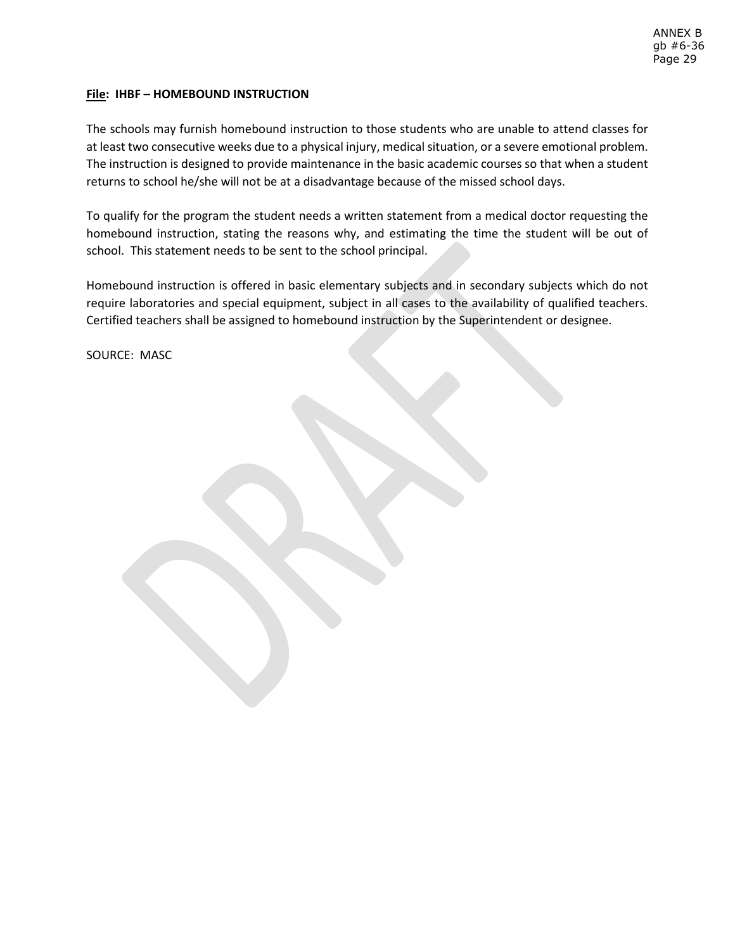## **File: IHBF – HOMEBOUND INSTRUCTION**

The schools may furnish homebound instruction to those students who are unable to attend classes for at least two consecutive weeks due to a physical injury, medical situation, or a severe emotional problem. The instruction is designed to provide maintenance in the basic academic courses so that when a student returns to school he/she will not be at a disadvantage because of the missed school days.

To qualify for the program the student needs a written statement from a medical doctor requesting the homebound instruction, stating the reasons why, and estimating the time the student will be out of school. This statement needs to be sent to the school principal.

Homebound instruction is offered in basic elementary subjects and in secondary subjects which do not require laboratories and special equipment, subject in all cases to the availability of qualified teachers. Certified teachers shall be assigned to homebound instruction by the Superintendent or designee.

SOURCE: MASC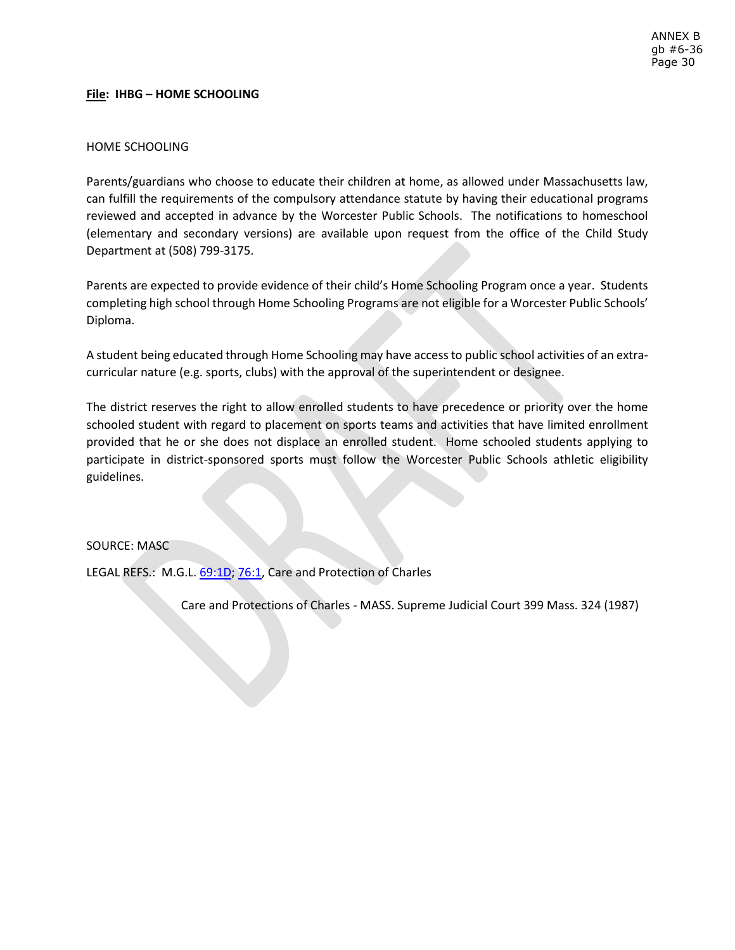## **File: IHBG – HOME SCHOOLING**

#### HOME SCHOOLING

Parents/guardians who choose to educate their children at home, as allowed under Massachusetts law, can fulfill the requirements of the compulsory attendance statute by having their educational programs reviewed and accepted in advance by the Worcester Public Schools. The notifications to homeschool (elementary and secondary versions) are available upon request from the office of the Child Study Department at (508) 799-3175.

Parents are expected to provide evidence of their child's Home Schooling Program once a year. Students completing high school through Home Schooling Programs are not eligible for a Worcester Public Schools' Diploma.

A student being educated through Home Schooling may have access to public school activities of an extracurricular nature (e.g. sports, clubs) with the approval of the superintendent or designee.

The district reserves the right to allow enrolled students to have precedence or priority over the home schooled student with regard to placement on sports teams and activities that have limited enrollment provided that he or she does not displace an enrolled student. Home schooled students applying to participate in district-sponsored sports must follow the Worcester Public Schools athletic eligibility guidelines.

#### SOURCE: MASC

LEGAL REFS.: M.G.L. [69:1D;](https://malegislature.gov/Laws/GeneralLaws/PartI/TitleXII/Chapter69/section1d) [76:1,](https://malegislature.gov/Laws/GeneralLaws/PartI/TitleXII/Chapter76/section1) Care and Protection of Charles

Care and Protections of Charles - MASS. Supreme Judicial Court 399 Mass. 324 (1987)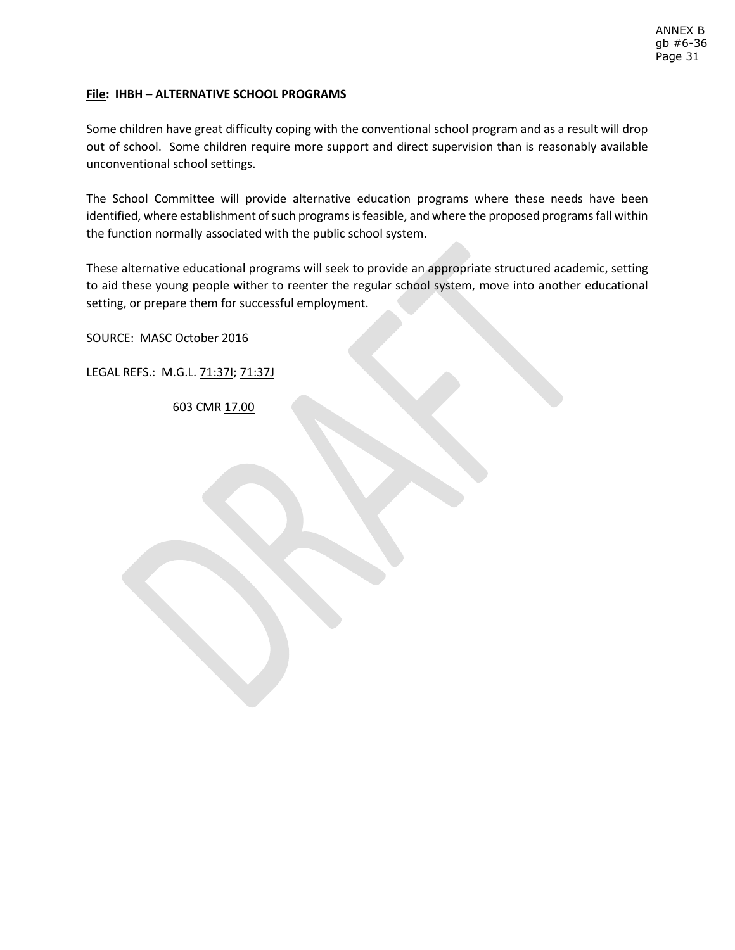# **File: IHBH – ALTERNATIVE SCHOOL PROGRAMS**

Some children have great difficulty coping with the conventional school program and as a result will drop out of school. Some children require more support and direct supervision than is reasonably available unconventional school settings.

The School Committee will provide alternative education programs where these needs have been identified, where establishment of such programs is feasible, and where the proposed programs fall within the function normally associated with the public school system.

These alternative educational programs will seek to provide an appropriate structured academic, setting to aid these young people wither to reenter the regular school system, move into another educational setting, or prepare them for successful employment.

SOURCE: MASC October 2016

LEGAL REFS.: M.G.L. 71:37I; 71:37J

603 CMR 17.00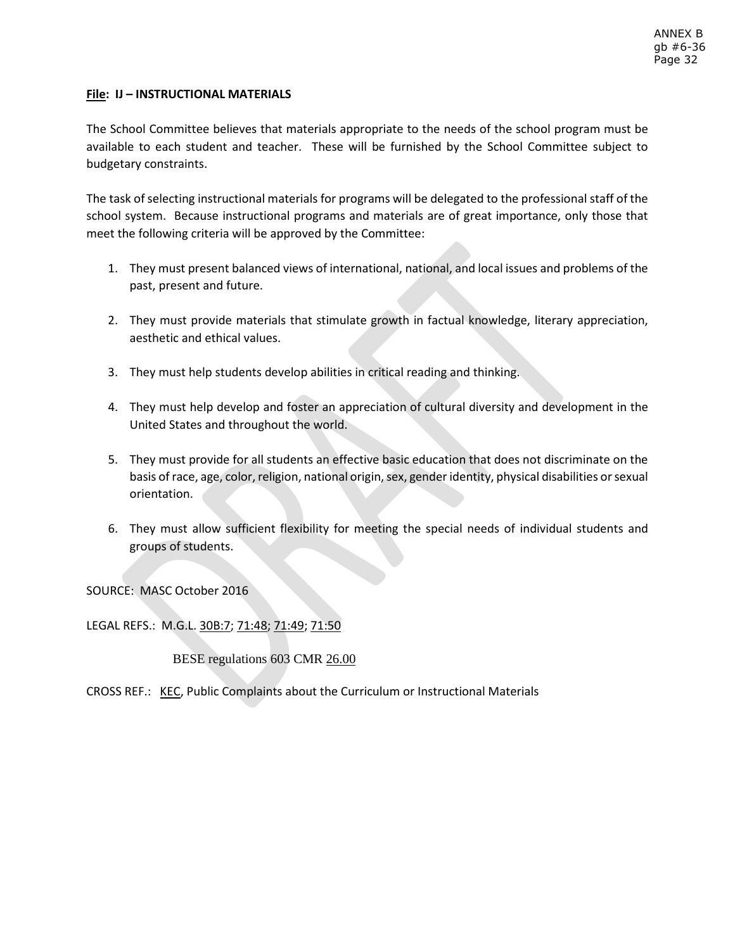## **File: IJ – INSTRUCTIONAL MATERIALS**

The School Committee believes that materials appropriate to the needs of the school program must be available to each student and teacher. These will be furnished by the School Committee subject to budgetary constraints.

The task of selecting instructional materials for programs will be delegated to the professional staff of the school system. Because instructional programs and materials are of great importance, only those that meet the following criteria will be approved by the Committee:

- 1. They must present balanced views of international, national, and local issues and problems of the past, present and future.
- 2. They must provide materials that stimulate growth in factual knowledge, literary appreciation, aesthetic and ethical values.
- 3. They must help students develop abilities in critical reading and thinking.
- 4. They must help develop and foster an appreciation of cultural diversity and development in the United States and throughout the world.
- 5. They must provide for all students an effective basic education that does not discriminate on the basis of race, age, color, religion, national origin, sex, gender identity, physical disabilities or sexual orientation.
- 6. They must allow sufficient flexibility for meeting the special needs of individual students and groups of students.

SOURCE: MASC October 2016

LEGAL REFS.: M.G.L. 30B:7; 71:48; 71:49; 71:50

BESE regulations 603 CMR [26.00](http://www.doe.mass.edu/lawsregs/603cmr26.html)

CROSS REF.: [KEC,](http://z2policy.ctspublish.com/masc/DocViewer.jsp?docid=265&z2collection=master#JD_KEC) Public Complaints about the Curriculum or Instructional Materials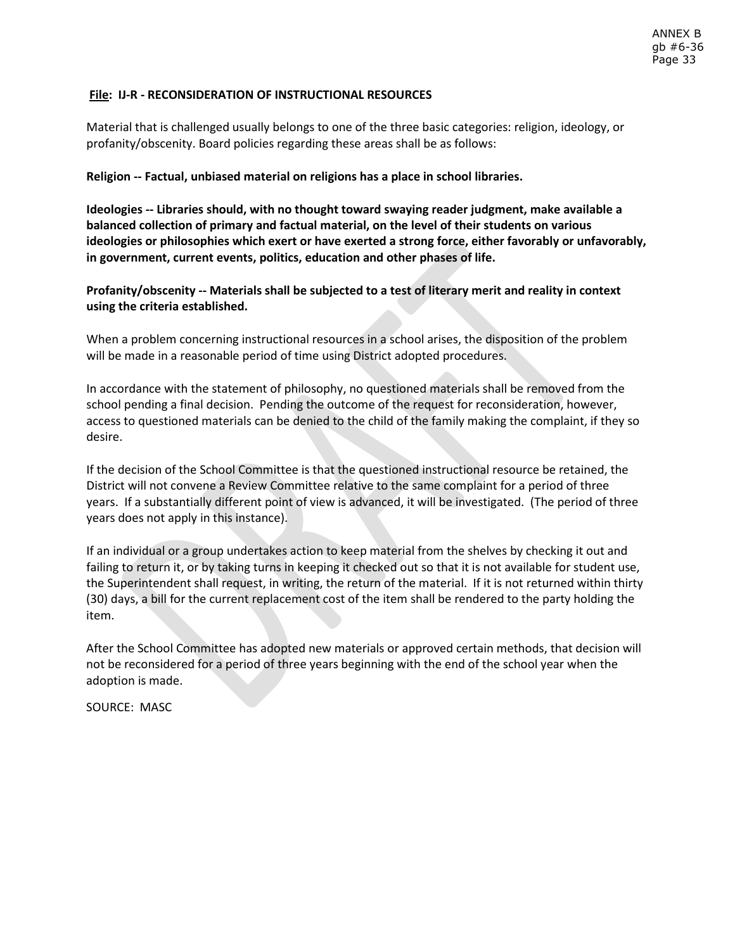## **File: IJ-R - RECONSIDERATION OF INSTRUCTIONAL RESOURCES**

Material that is challenged usually belongs to one of the three basic categories: religion, ideology, or profanity/obscenity. Board policies regarding these areas shall be as follows:

#### **Religion -- Factual, unbiased material on religions has a place in school libraries.**

**Ideologies -- Libraries should, with no thought toward swaying reader judgment, make available a balanced collection of primary and factual material, on the level of their students on various ideologies or philosophies which exert or have exerted a strong force, either favorably or unfavorably, in government, current events, politics, education and other phases of life.**

**Profanity/obscenity -- Materials shall be subjected to a test of literary merit and reality in context using the criteria established.**

When a problem concerning instructional resources in a school arises, the disposition of the problem will be made in a reasonable period of time using District adopted procedures.

In accordance with the statement of philosophy, no questioned materials shall be removed from the school pending a final decision. Pending the outcome of the request for reconsideration, however, access to questioned materials can be denied to the child of the family making the complaint, if they so desire.

If the decision of the School Committee is that the questioned instructional resource be retained, the District will not convene a Review Committee relative to the same complaint for a period of three years. If a substantially different point of view is advanced, it will be investigated. (The period of three years does not apply in this instance).

If an individual or a group undertakes action to keep material from the shelves by checking it out and failing to return it, or by taking turns in keeping it checked out so that it is not available for student use, the Superintendent shall request, in writing, the return of the material. If it is not returned within thirty (30) days, a bill for the current replacement cost of the item shall be rendered to the party holding the item.

After the School Committee has adopted new materials or approved certain methods, that decision will not be reconsidered for a period of three years beginning with the end of the school year when the adoption is made.

SOURCE: MASC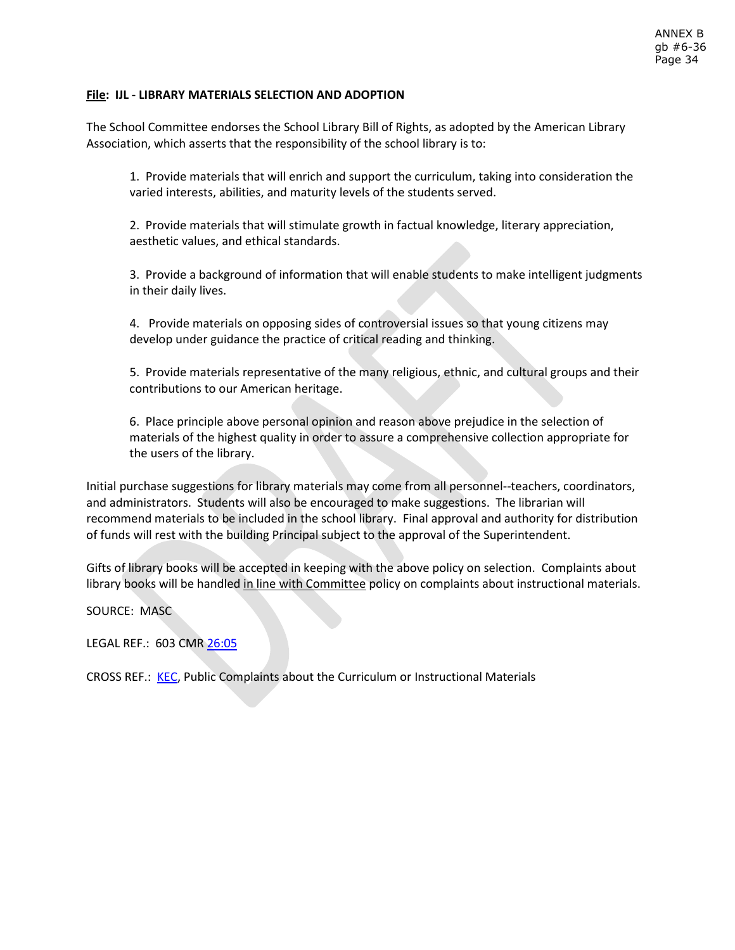## **File: IJL - LIBRARY MATERIALS SELECTION AND ADOPTION**

The School Committee endorses the School Library Bill of Rights, as adopted by the American Library Association, which asserts that the responsibility of the school library is to:

1. Provide materials that will enrich and support the curriculum, taking into consideration the varied interests, abilities, and maturity levels of the students served.

2. Provide materials that will stimulate growth in factual knowledge, literary appreciation, aesthetic values, and ethical standards.

3. Provide a background of information that will enable students to make intelligent judgments in their daily lives.

4. Provide materials on opposing sides of controversial issues so that young citizens may develop under guidance the practice of critical reading and thinking.

5. Provide materials representative of the many religious, ethnic, and cultural groups and their contributions to our American heritage.

6. Place principle above personal opinion and reason above prejudice in the selection of materials of the highest quality in order to assure a comprehensive collection appropriate for the users of the library.

Initial purchase suggestions for library materials may come from all personnel--teachers, coordinators, and administrators. Students will also be encouraged to make suggestions. The librarian will recommend materials to be included in the school library. Final approval and authority for distribution of funds will rest with the building Principal subject to the approval of the Superintendent.

Gifts of library books will be accepted in keeping with the above policy on selection. Complaints about library books will be handled in line with Committee policy on complaints about instructional materials.

SOURCE: MASC

LEGAL REF.: 603 CM[R 26:05](http://www.doe.mass.edu/lawsregs/603cmr26.html?section=05)

CROSS REF.: [KEC,](http://z2policy.ctspublish.com/masc/DocViewer.jsp?docid=265&z2collection=master#JD_KEC) Public Complaints about the Curriculum or Instructional Materials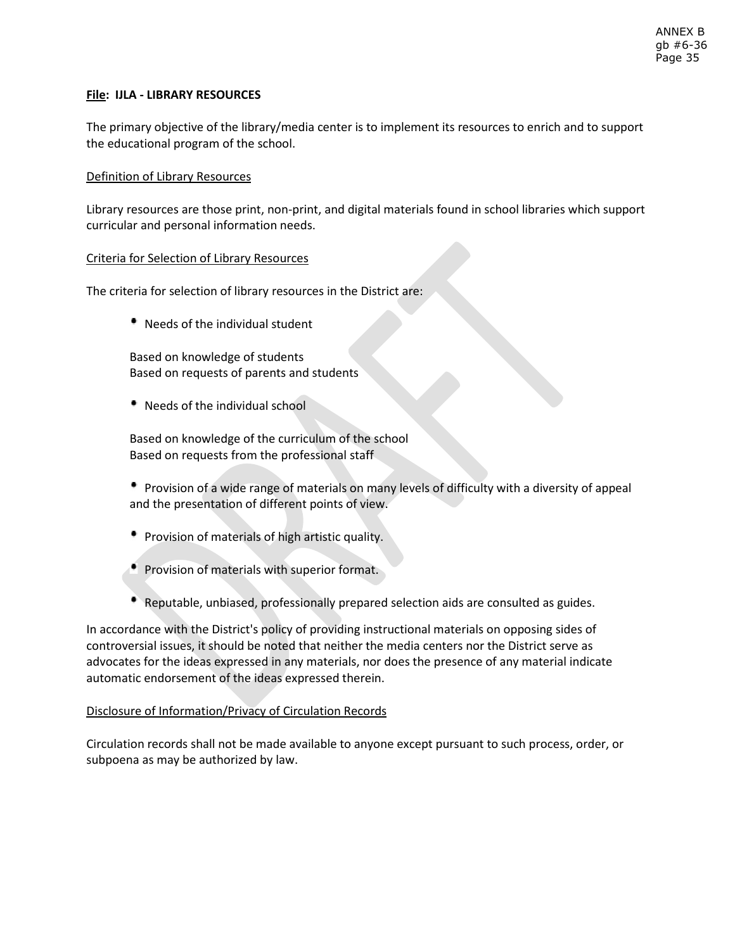## **File: IJLA - LIBRARY RESOURCES**

The primary objective of the library/media center is to implement its resources to enrich and to support the educational program of the school.

## Definition of Library Resources

Library resources are those print, non-print, and digital materials found in school libraries which support curricular and personal information needs.

## Criteria for Selection of Library Resources

The criteria for selection of library resources in the District are:

Needs of the individual student

Based on knowledge of students Based on requests of parents and students

Needs of the individual school

Based on knowledge of the curriculum of the school Based on requests from the professional staff

 Provision of a wide range of materials on many levels of difficulty with a diversity of appeal and the presentation of different points of view.

- **Provision of materials of high artistic quality.**
- **Provision of materials with superior format.**
- Reputable, unbiased, professionally prepared selection aids are consulted as guides.

In accordance with the District's policy of providing instructional materials on opposing sides of controversial issues, it should be noted that neither the media centers nor the District serve as advocates for the ideas expressed in any materials, nor does the presence of any material indicate automatic endorsement of the ideas expressed therein.

## Disclosure of Information/Privacy of Circulation Records

Circulation records shall not be made available to anyone except pursuant to such process, order, or subpoena as may be authorized by law.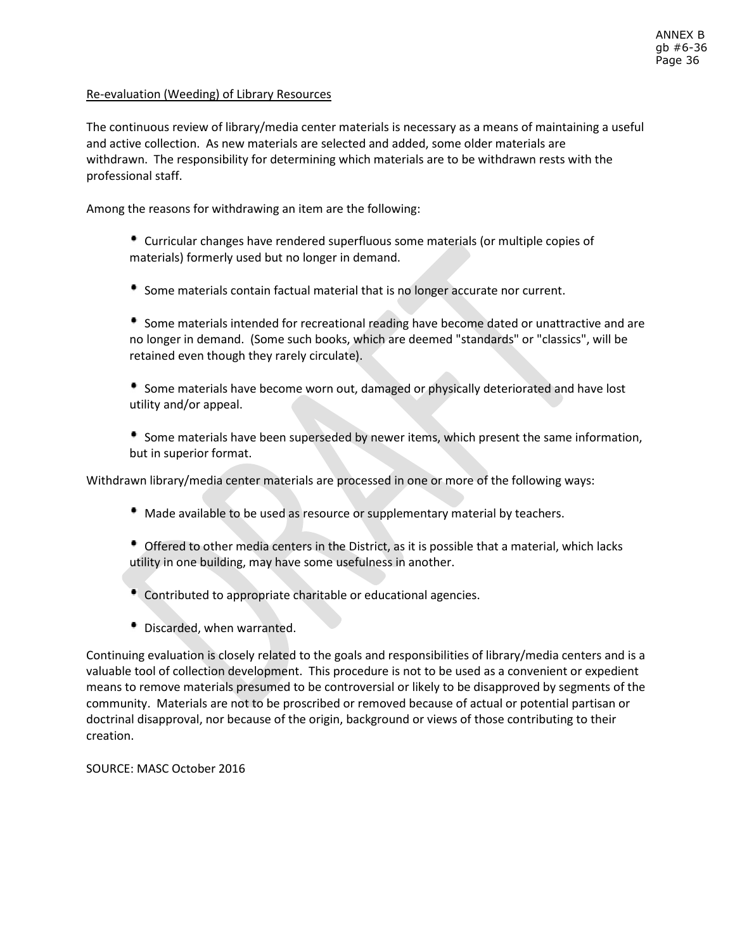## Re-evaluation (Weeding) of Library Resources

The continuous review of library/media center materials is necessary as a means of maintaining a useful and active collection. As new materials are selected and added, some older materials are withdrawn. The responsibility for determining which materials are to be withdrawn rests with the professional staff.

Among the reasons for withdrawing an item are the following:

 Curricular changes have rendered superfluous some materials (or multiple copies of materials) formerly used but no longer in demand.

Some materials contain factual material that is no longer accurate nor current.

 Some materials intended for recreational reading have become dated or unattractive and are no longer in demand. (Some such books, which are deemed "standards" or "classics", will be retained even though they rarely circulate).

 Some materials have become worn out, damaged or physically deteriorated and have lost utility and/or appeal.

 Some materials have been superseded by newer items, which present the same information, but in superior format.

Withdrawn library/media center materials are processed in one or more of the following ways:

- Made available to be used as resource or supplementary material by teachers.
- Offered to other media centers in the District, as it is possible that a material, which lacks utility in one building, may have some usefulness in another.
- Contributed to appropriate charitable or educational agencies.
- Discarded, when warranted.

Continuing evaluation is closely related to the goals and responsibilities of library/media centers and is a valuable tool of collection development. This procedure is not to be used as a convenient or expedient means to remove materials presumed to be controversial or likely to be disapproved by segments of the community. Materials are not to be proscribed or removed because of actual or potential partisan or doctrinal disapproval, nor because of the origin, background or views of those contributing to their creation.

SOURCE: MASC October 2016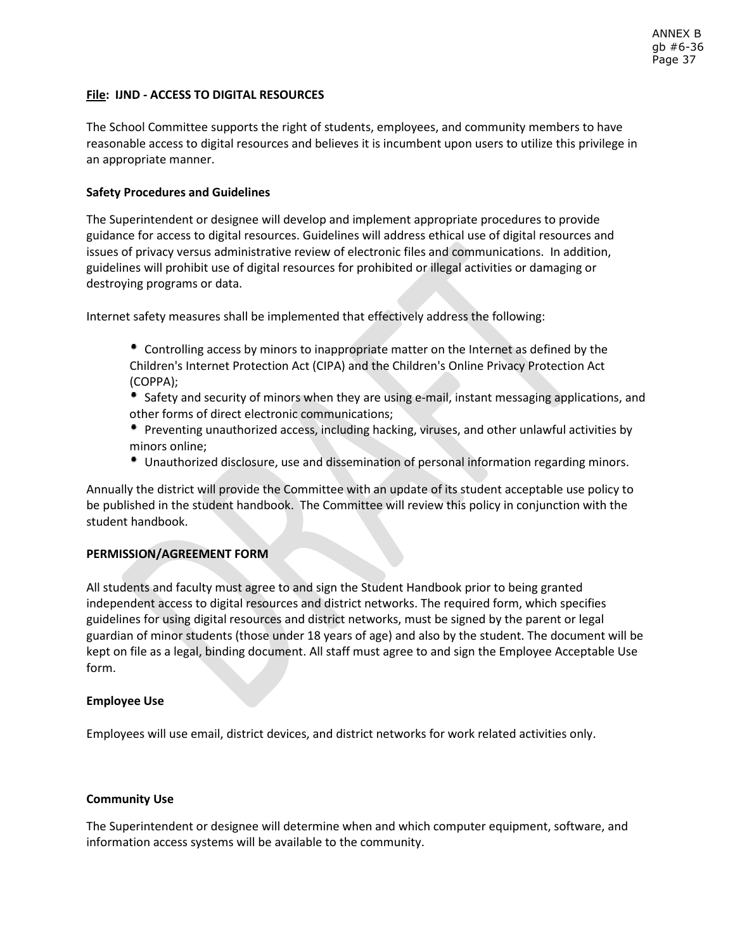## **File: IJND - ACCESS TO DIGITAL RESOURCES**

The School Committee supports the right of students, employees, and community members to have reasonable access to digital resources and believes it is incumbent upon users to utilize this privilege in an appropriate manner.

## **Safety Procedures and Guidelines**

The Superintendent or designee will develop and implement appropriate procedures to provide guidance for access to digital resources. Guidelines will address ethical use of digital resources and issues of privacy versus administrative review of electronic files and communications. In addition, guidelines will prohibit use of digital resources for prohibited or illegal activities or damaging or destroying programs or data.

Internet safety measures shall be implemented that effectively address the following:

- Controlling access by minors to inappropriate matter on the Internet as defined by the Children's Internet Protection Act (CIPA) and the Children's Online Privacy Protection Act (COPPA);
- Safety and security of minors when they are using e-mail, instant messaging applications, and other forms of direct electronic communications;
- Preventing unauthorized access, including hacking, viruses, and other unlawful activities by minors online;
- Unauthorized disclosure, use and dissemination of personal information regarding minors.

Annually the district will provide the Committee with an update of its student acceptable use policy to be published in the student handbook. The Committee will review this policy in conjunction with the student handbook.

## **PERMISSION/AGREEMENT FORM**

All students and faculty must agree to and sign the Student Handbook prior to being granted independent access to digital resources and district networks. The required form, which specifies guidelines for using digital resources and district networks, must be signed by the parent or legal guardian of minor students (those under 18 years of age) and also by the student. The document will be kept on file as a legal, binding document. All staff must agree to and sign the Employee Acceptable Use form.

#### **Employee Use**

Employees will use email, district devices, and district networks for work related activities only.

#### **Community Use**

The Superintendent or designee will determine when and which computer equipment, software, and information access systems will be available to the community.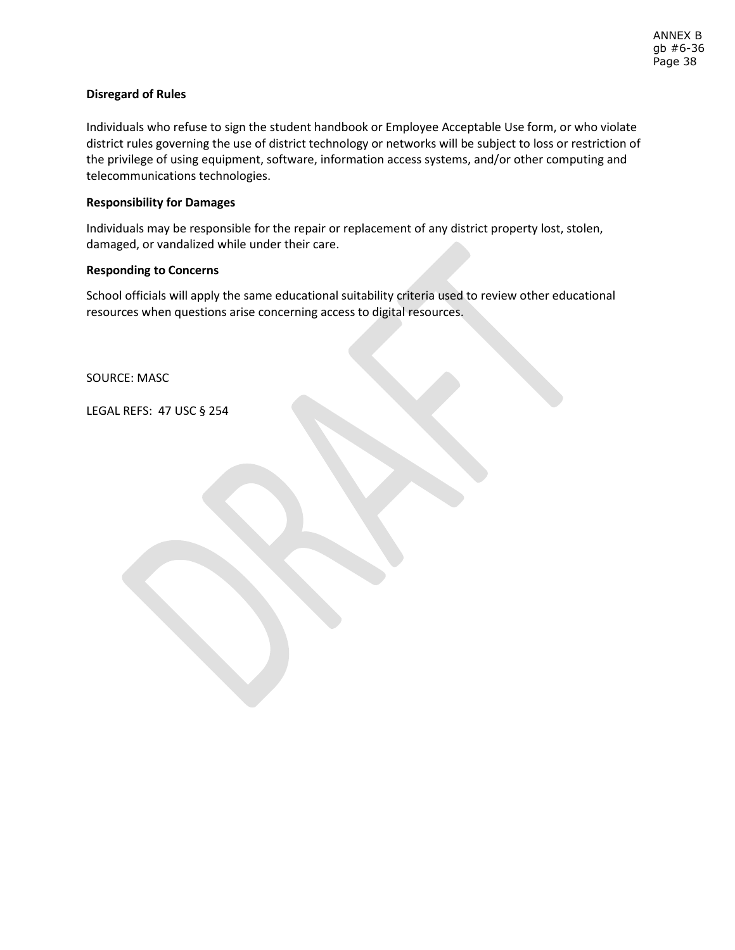## **Disregard of Rules**

Individuals who refuse to sign the student handbook or Employee Acceptable Use form, or who violate district rules governing the use of district technology or networks will be subject to loss or restriction of the privilege of using equipment, software, information access systems, and/or other computing and telecommunications technologies.

## **Responsibility for Damages**

Individuals may be responsible for the repair or replacement of any district property lost, stolen, damaged, or vandalized while under their care.

## **Responding to Concerns**

School officials will apply the same educational suitability criteria used to review other educational resources when questions arise concerning access to digital resources.

SOURCE: MASC

LEGAL REFS: 47 USC § 254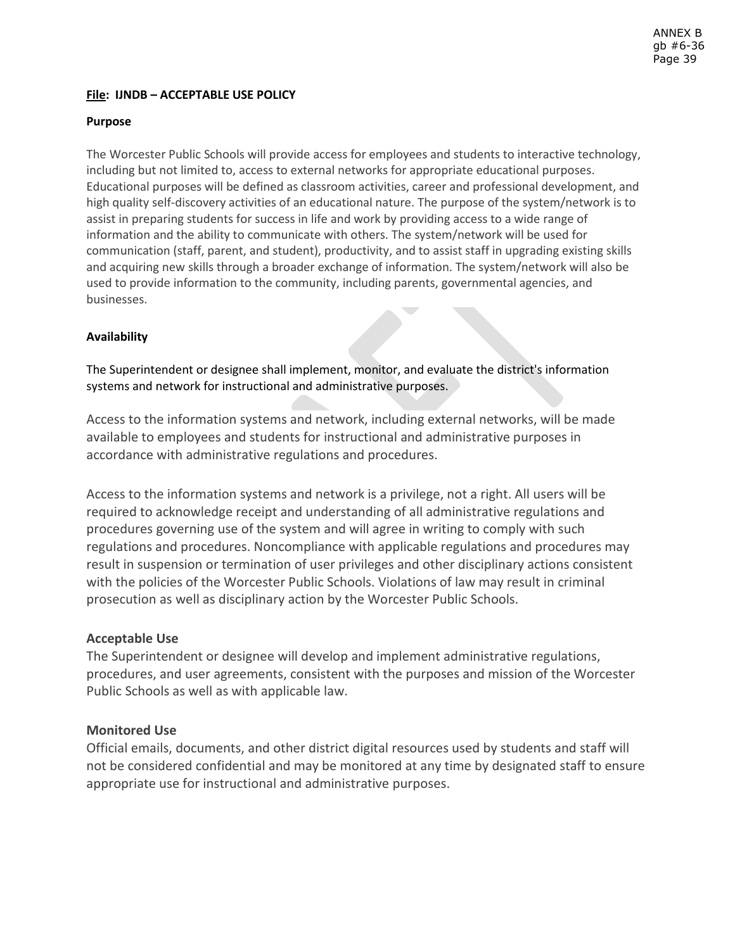# **File: IJNDB – ACCEPTABLE USE POLICY**

## **Purpose**

The Worcester Public Schools will provide access for employees and students to interactive technology, including but not limited to, access to external networks for appropriate educational purposes. Educational purposes will be defined as classroom activities, career and professional development, and high quality self-discovery activities of an educational nature. The purpose of the system/network is to assist in preparing students for success in life and work by providing access to a wide range of information and the ability to communicate with others. The system/network will be used for communication (staff, parent, and student), productivity, and to assist staff in upgrading existing skills and acquiring new skills through a broader exchange of information. The system/network will also be used to provide information to the community, including parents, governmental agencies, and businesses.

## **Availability**

The Superintendent or designee shall implement, monitor, and evaluate the district's information systems and network for instructional and administrative purposes.

Access to the information systems and network, including external networks, will be made available to employees and students for instructional and administrative purposes in accordance with administrative regulations and procedures.

Access to the information systems and network is a privilege, not a right. All users will be required to acknowledge receipt and understanding of all administrative regulations and procedures governing use of the system and will agree in writing to comply with such regulations and procedures. Noncompliance with applicable regulations and procedures may result in suspension or termination of user privileges and other disciplinary actions consistent with the policies of the Worcester Public Schools. Violations of law may result in criminal prosecution as well as disciplinary action by the Worcester Public Schools.

## **Acceptable Use**

The Superintendent or designee will develop and implement administrative regulations, procedures, and user agreements, consistent with the purposes and mission of the Worcester Public Schools as well as with applicable law.

# **Monitored Use**

Official emails, documents, and other district digital resources used by students and staff will not be considered confidential and may be monitored at any time by designated staff to ensure appropriate use for instructional and administrative purposes.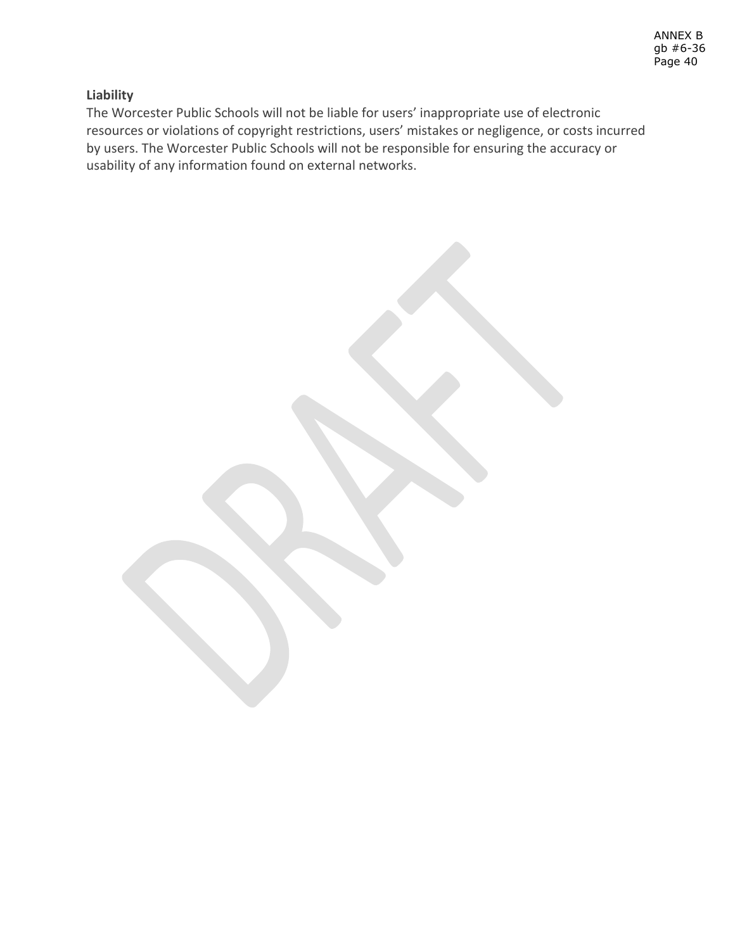# **Liability**

The Worcester Public Schools will not be liable for users' inappropriate use of electronic resources or violations of copyright restrictions, users' mistakes or negligence, or costs incurred by users. The Worcester Public Schools will not be responsible for ensuring the accuracy or usability of any information found on external networks.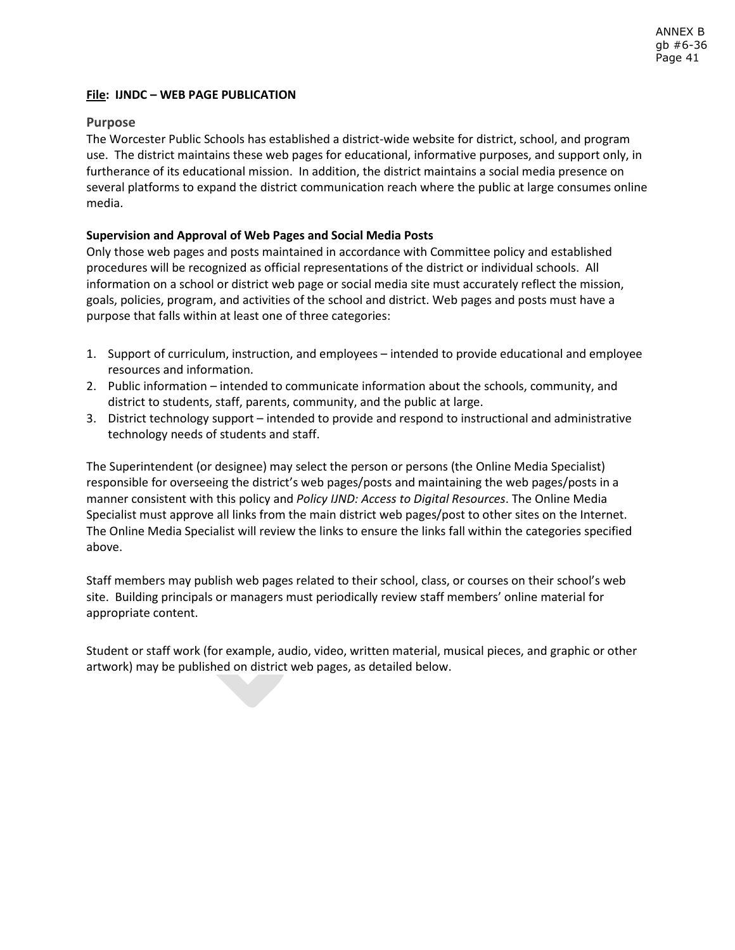## **File: IJNDC – WEB PAGE PUBLICATION**

## **Purpose**

The Worcester Public Schools has established a district-wide website for district, school, and program use. The district maintains these web pages for educational, informative purposes, and support only, in furtherance of its educational mission. In addition, the district maintains a social media presence on several platforms to expand the district communication reach where the public at large consumes online media.

## **Supervision and Approval of Web Pages and Social Media Posts**

Only those web pages and posts maintained in accordance with Committee policy and established procedures will be recognized as official representations of the district or individual schools. All information on a school or district web page or social media site must accurately reflect the mission, goals, policies, program, and activities of the school and district. Web pages and posts must have a purpose that falls within at least one of three categories:

- 1. Support of curriculum, instruction, and employees intended to provide educational and employee resources and information.
- 2. Public information intended to communicate information about the schools, community, and district to students, staff, parents, community, and the public at large.
- 3. District technology support intended to provide and respond to instructional and administrative technology needs of students and staff.

The Superintendent (or designee) may select the person or persons (the Online Media Specialist) responsible for overseeing the district's web pages/posts and maintaining the web pages/posts in a manner consistent with this policy and *Policy IJND: Access to Digital Resources*. The Online Media Specialist must approve all links from the main district web pages/post to other sites on the Internet. The Online Media Specialist will review the links to ensure the links fall within the categories specified above.

Staff members may publish web pages related to their school, class, or courses on their school's web site. Building principals or managers must periodically review staff members' online material for appropriate content.

Student or staff work (for example, audio, video, written material, musical pieces, and graphic or other artwork) may be published on district web pages, as detailed below.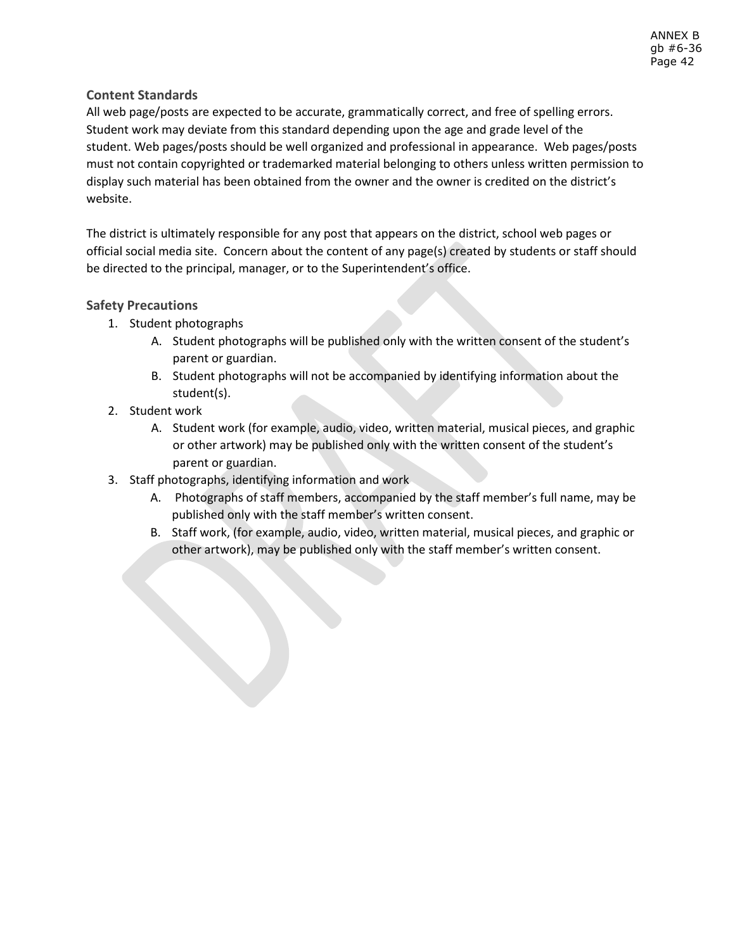# **Content Standards**

All web page/posts are expected to be accurate, grammatically correct, and free of spelling errors. Student work may deviate from this standard depending upon the age and grade level of the student. Web pages/posts should be well organized and professional in appearance. Web pages/posts must not contain copyrighted or trademarked material belonging to others unless written permission to display such material has been obtained from the owner and the owner is credited on the district's website.

The district is ultimately responsible for any post that appears on the district, school web pages or official social media site. Concern about the content of any page(s) created by students or staff should be directed to the principal, manager, or to the Superintendent's office.

# **Safety Precautions**

- 1. Student photographs
	- A. Student photographs will be published only with the written consent of the student's parent or guardian.
	- B. Student photographs will not be accompanied by identifying information about the student(s).
- 2. Student work
	- A. Student work (for example, audio, video, written material, musical pieces, and graphic or other artwork) may be published only with the written consent of the student's parent or guardian.
- 3. Staff photographs, identifying information and work
	- A. Photographs of staff members, accompanied by the staff member's full name, may be published only with the staff member's written consent.
	- B. Staff work, (for example, audio, video, written material, musical pieces, and graphic or other artwork), may be published only with the staff member's written consent.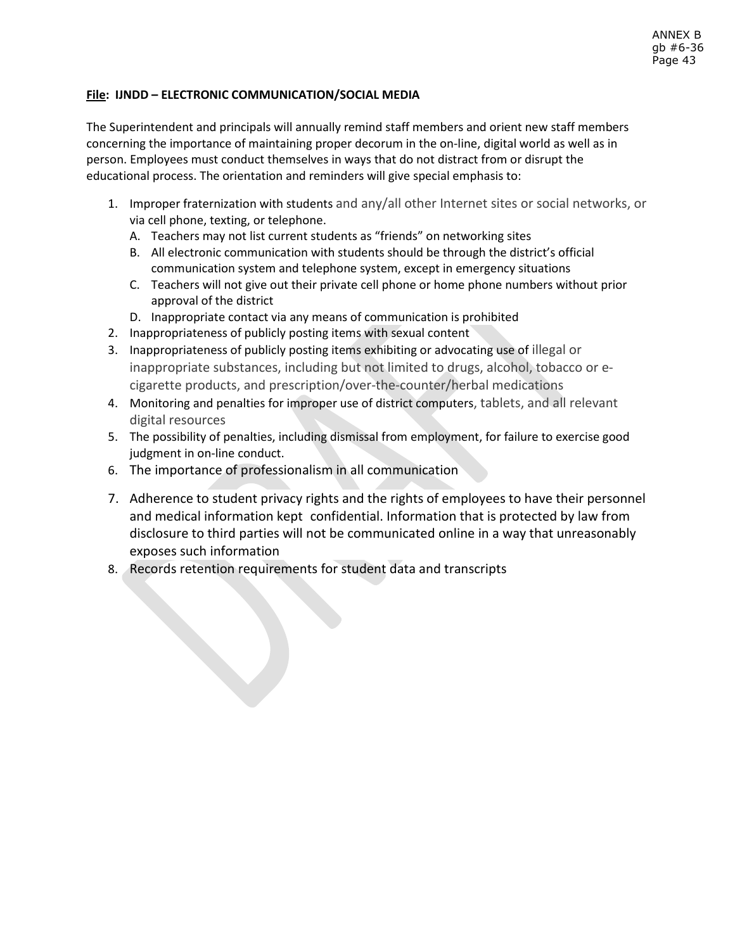# **File: IJNDD – ELECTRONIC COMMUNICATION/SOCIAL MEDIA**

The Superintendent and principals will annually remind staff members and orient new staff members concerning the importance of maintaining proper decorum in the on-line, digital world as well as in person. Employees must conduct themselves in ways that do not distract from or disrupt the educational process. The orientation and reminders will give special emphasis to:

- 1. Improper fraternization with students and any/all other Internet sites or social networks, or via cell phone, texting, or telephone.
	- A. Teachers may not list current students as "friends" on networking sites
	- B. All electronic communication with students should be through the district's official communication system and telephone system, except in emergency situations
	- C. Teachers will not give out their private cell phone or home phone numbers without prior approval of the district
	- D. Inappropriate contact via any means of communication is prohibited
- 2. Inappropriateness of publicly posting items with sexual content
- 3. Inappropriateness of publicly posting items exhibiting or advocating use of illegal or inappropriate substances, including but not limited to drugs, alcohol, tobacco or ecigarette products, and prescription/over-the-counter/herbal medications
- 4. Monitoring and penalties for improper use of district computers, tablets, and all relevant digital resources
- 5. The possibility of penalties, including dismissal from employment, for failure to exercise good judgment in on-line conduct.
- 6. The importance of professionalism in all communication
- 7. Adherence to student privacy rights and the rights of employees to have their personnel and medical information kept confidential. Information that is protected by law from disclosure to third parties will not be communicated online in a way that unreasonably exposes such information
- 8. Records retention requirements for student data and transcripts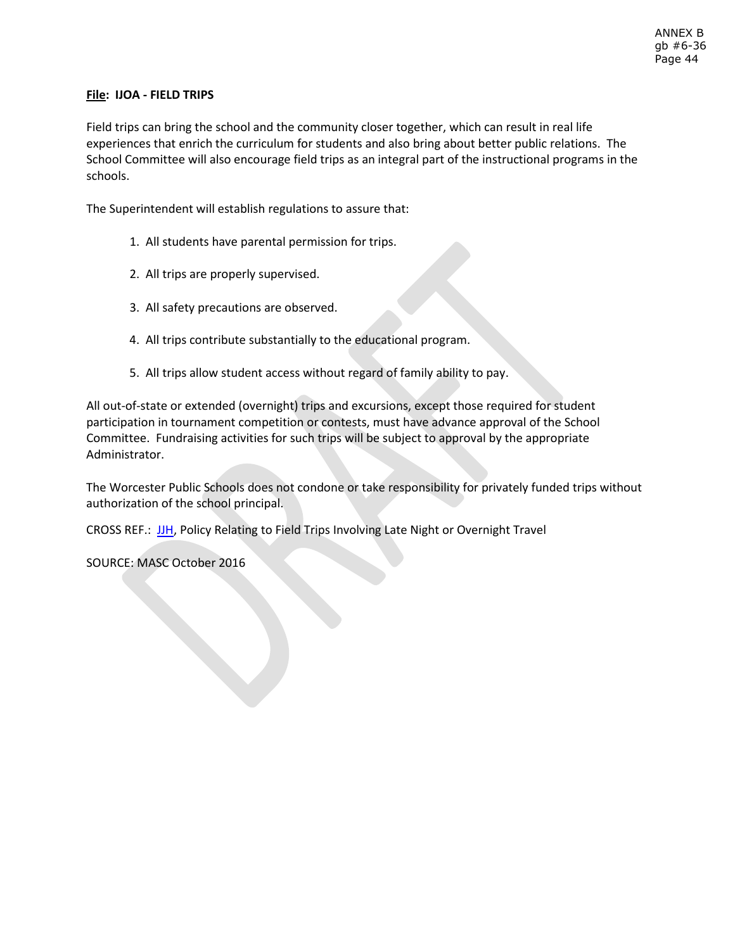# **File: IJOA - FIELD TRIPS**

Field trips can bring the school and the community closer together, which can result in real life experiences that enrich the curriculum for students and also bring about better public relations. The School Committee will also encourage field trips as an integral part of the instructional programs in the schools.

The Superintendent will establish regulations to assure that:

- 1. All students have parental permission for trips.
- 2. All trips are properly supervised.
- 3. All safety precautions are observed.
- 4. All trips contribute substantially to the educational program.
- 5. All trips allow student access without regard of family ability to pay.

All out-of-state or extended (overnight) trips and excursions, except those required for student participation in tournament competition or contests, must have advance approval of the School Committee. Fundraising activities for such trips will be subject to approval by the appropriate Administrator.

The Worcester Public Schools does not condone or take responsibility for privately funded trips without authorization of the school principal.

CROSS REF.: [JJH,](http://z2policy.ctspublish.com/masc/DocViewer.jsp?docid=232&z2collection=master#JD_JJH) Policy Relating to Field Trips Involving Late Night or Overnight Travel

SOURCE: MASC October 2016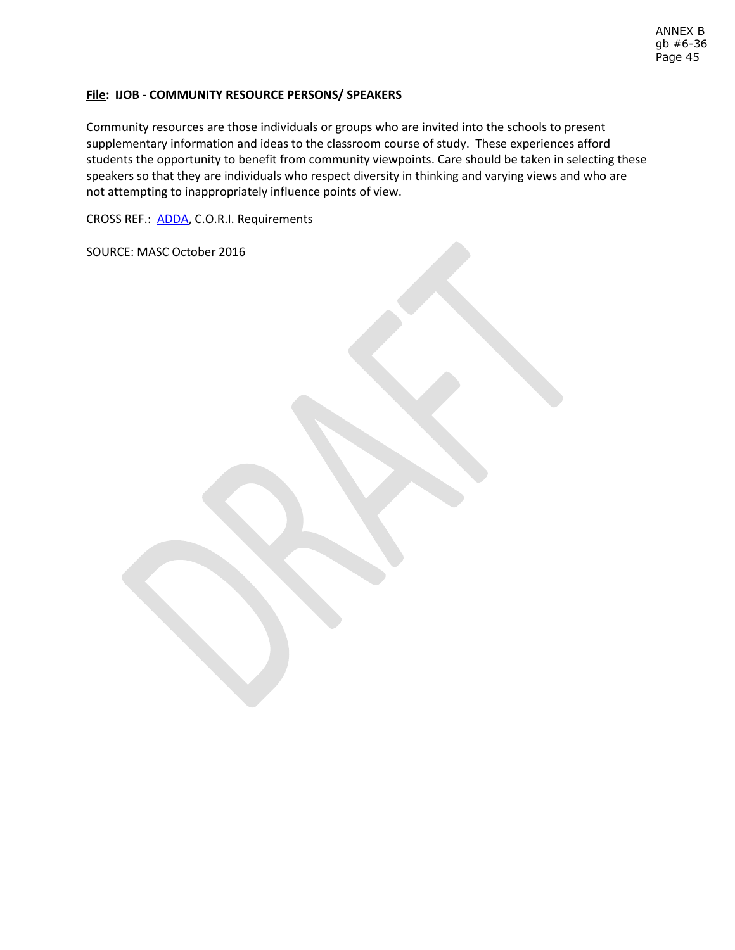## **File: IJOB - COMMUNITY RESOURCE PERSONS/ SPEAKERS**

Community resources are those individuals or groups who are invited into the schools to present supplementary information and ideas to the classroom course of study. These experiences afford students the opportunity to benefit from community viewpoints. Care should be taken in selecting these speakers so that they are individuals who respect diversity in thinking and varying views and who are not attempting to inappropriately influence points of view.

CROSS REF.: [ADDA,](http://z2policy.ctspublish.com/masc/DocViewer.jsp?docid=11&z2collection=master#JD_ADDA) C.O.R.I. Requirements

SOURCE: MASC October 2016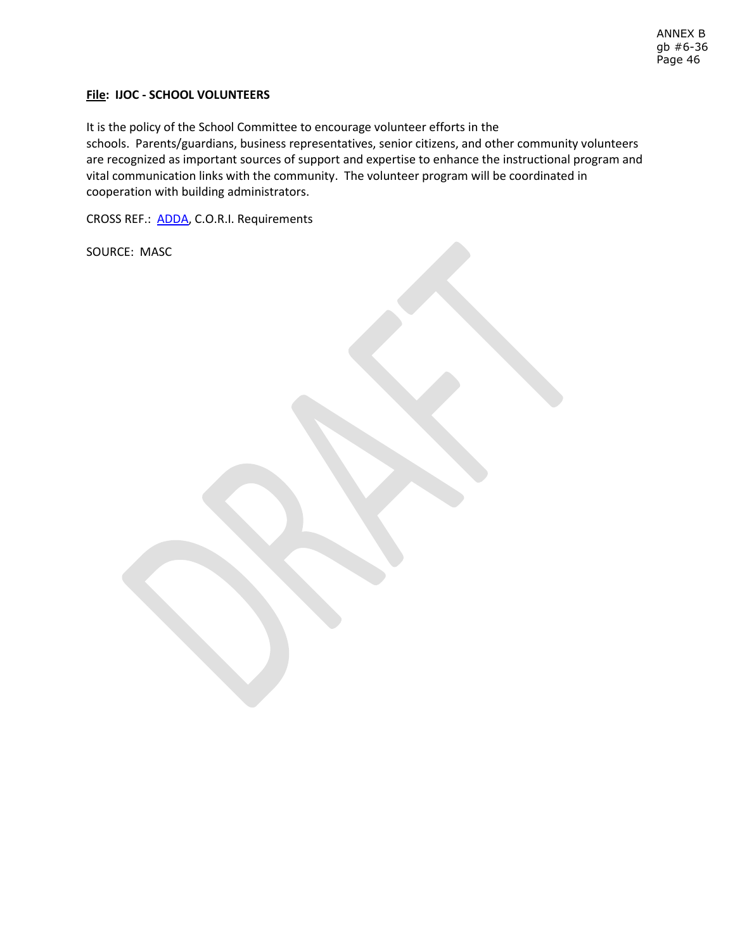ANNEX B gb #6-36 Page 46

## **File: IJOC - SCHOOL VOLUNTEERS**

It is the policy of the School Committee to encourage volunteer efforts in the schools. Parents/guardians, business representatives, senior citizens, and other community volunteers are recognized as important sources of support and expertise to enhance the instructional program and vital communication links with the community. The volunteer program will be coordinated in cooperation with building administrators.

CROSS REF.: [ADDA,](http://z2policy.ctspublish.com/masc/DocViewer.jsp?docid=11&z2collection=master#JD_ADDA) C.O.R.I. Requirements

SOURCE: MASC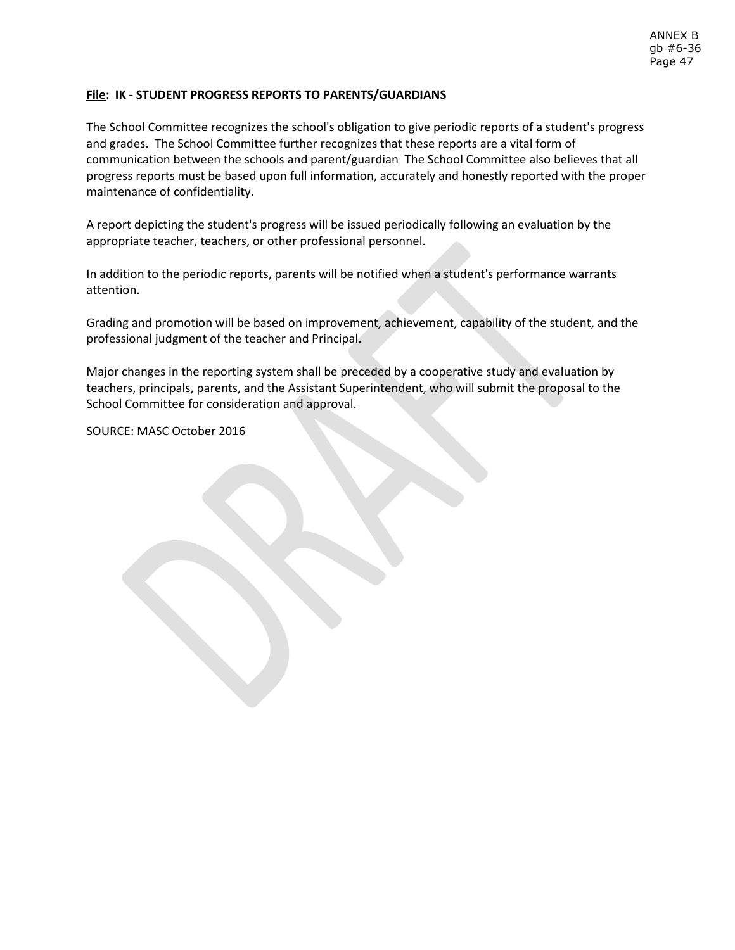## **File: IK - STUDENT PROGRESS REPORTS TO PARENTS/GUARDIANS**

The School Committee recognizes the school's obligation to give periodic reports of a student's progress and grades. The School Committee further recognizes that these reports are a vital form of communication between the schools and parent/guardian The School Committee also believes that all progress reports must be based upon full information, accurately and honestly reported with the proper maintenance of confidentiality.

A report depicting the student's progress will be issued periodically following an evaluation by the appropriate teacher, teachers, or other professional personnel.

In addition to the periodic reports, parents will be notified when a student's performance warrants attention.

Grading and promotion will be based on improvement, achievement, capability of the student, and the professional judgment of the teacher and Principal.

Major changes in the reporting system shall be preceded by a cooperative study and evaluation by teachers, principals, parents, and the Assistant Superintendent, who will submit the proposal to the School Committee for consideration and approval.

SOURCE: MASC October 2016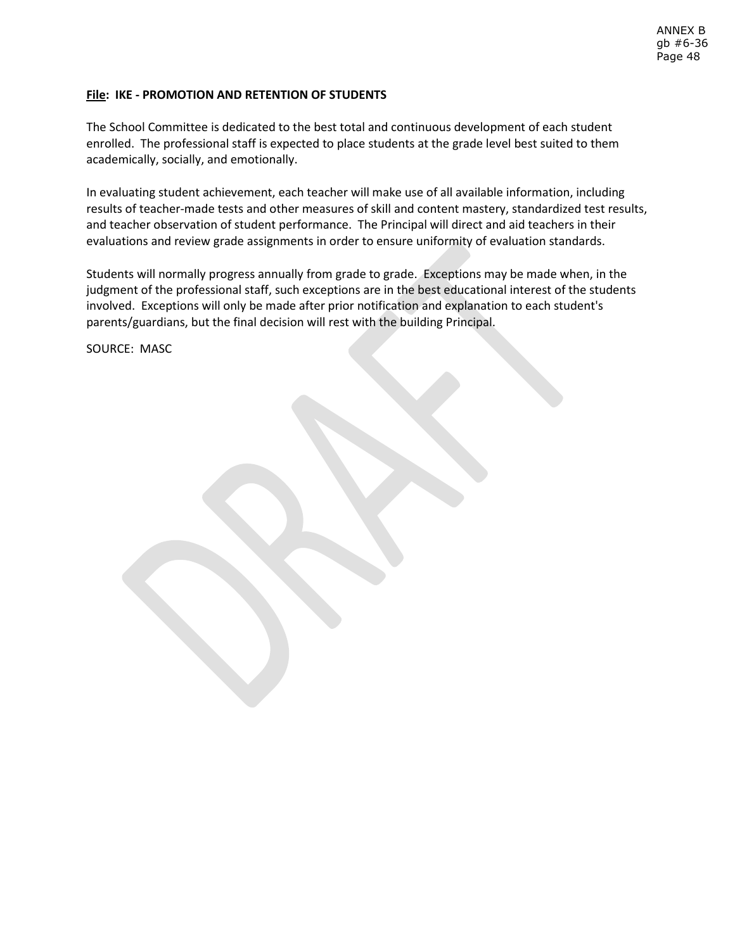# **File: IKE - PROMOTION AND RETENTION OF STUDENTS**

The School Committee is dedicated to the best total and continuous development of each student enrolled. The professional staff is expected to place students at the grade level best suited to them academically, socially, and emotionally.

In evaluating student achievement, each teacher will make use of all available information, including results of teacher-made tests and other measures of skill and content mastery, standardized test results, and teacher observation of student performance. The Principal will direct and aid teachers in their evaluations and review grade assignments in order to ensure uniformity of evaluation standards.

Students will normally progress annually from grade to grade. Exceptions may be made when, in the judgment of the professional staff, such exceptions are in the best educational interest of the students involved. Exceptions will only be made after prior notification and explanation to each student's parents/guardians, but the final decision will rest with the building Principal.

SOURCE: MASC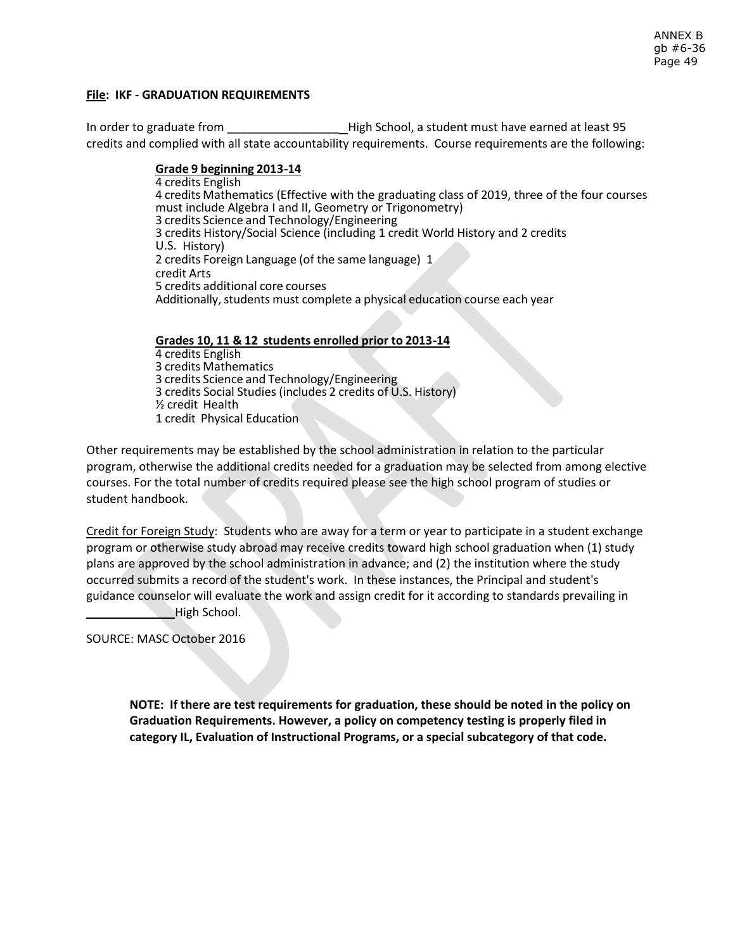## **File: IKF - GRADUATION REQUIREMENTS**

In order to graduate from The High School, a student must have earned at least 95 credits and complied with all state accountability requirements. Course requirements are the following:

#### **Grade 9 beginning 2013 -14**

4 credits English 4 credits Mathematics (Effective with the graduating class of 2019, three of the four courses must include Algebra I and II, Geometry or Trigonometry) 3 credits Science and Technology/Engineering 3 credits History/Social Science (including 1 credit World History and 2 credits U.S. History) 2 credits Foreign Language (of the same language) 1 credit Arts 5 credits additional core courses Additionally, students must complete a physical education course each year

**Grades 10, 11 & 12 students enrolled p rior to 2013 -14** 4 credits English 3 credits Mathematics 3 credits Science and Technology/Engineering 3 credits Social Studies (includes 2 credits of U.S. History) ½ credit Health 1 credit Physical Education

Other requirements may be established by the school administration in relation to the particular program, otherwise the additional credits needed for a graduation may be selected from among elective courses. For the total number of credits required please see the high school program of studies or student handbook.

Credit for Foreign Study: Students who are away for a term or year to participate in a student exchange program or otherwise study abroad may receive credits toward high school graduation when (1) study plans are approved by the school administration in advance; and (2) the institution where the study occurred submits a record of the student's work. In these instances, the Principal and student's guidance counselor will evaluate the work and assign credit for it according to standards prevailing in High School.

SOURCE: MASC October 2016

**NOTE: If there are test requirements for graduation, these should be noted in the policy on Graduation Requirements. However, a policy on competency testing is properly filed in category IL, Evaluation of Instructional Programs, or a special subcategory of that code.**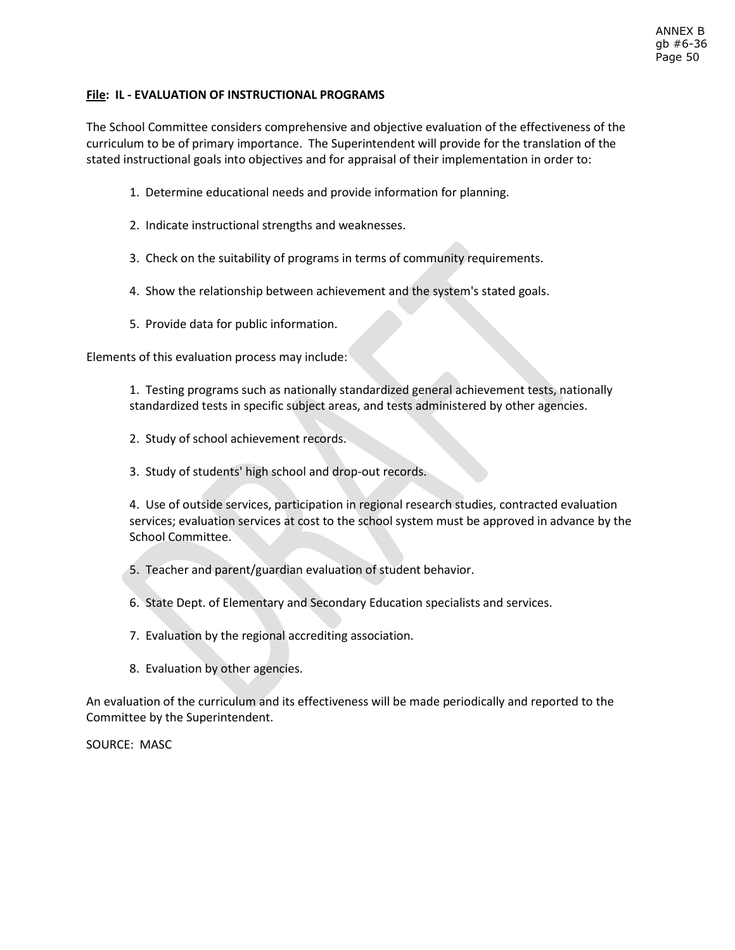# **File: IL - EVALUATION OF INSTRUCTIONAL PROGRAMS**

The School Committee considers comprehensive and objective evaluation of the effectiveness of the curriculum to be of primary importance. The Superintendent will provide for the translation of the stated instructional goals into objectives and for appraisal of their implementation in order to:

- 1. Determine educational needs and provide information for planning.
- 2. Indicate instructional strengths and weaknesses.
- 3. Check on the suitability of programs in terms of community requirements.
- 4. Show the relationship between achievement and the system's stated goals.
- 5. Provide data for public information.

Elements of this evaluation process may include:

1. Testing programs such as nationally standardized general achievement tests, nationally standardized tests in specific subject areas, and tests administered by other agencies.

- 2. Study of school achievement records.
- 3. Study of students' high school and drop-out records.

4. Use of outside services, participation in regional research studies, contracted evaluation services; evaluation services at cost to the school system must be approved in advance by the School Committee.

5. Teacher and parent/guardian evaluation of student behavior.

6. State Dept. of Elementary and Secondary Education specialists and services.

- 7. Evaluation by the regional accrediting association.
- 8. Evaluation by other agencies.

An evaluation of the curriculum and its effectiveness will be made periodically and reported to the Committee by the Superintendent.

SOURCE: MASC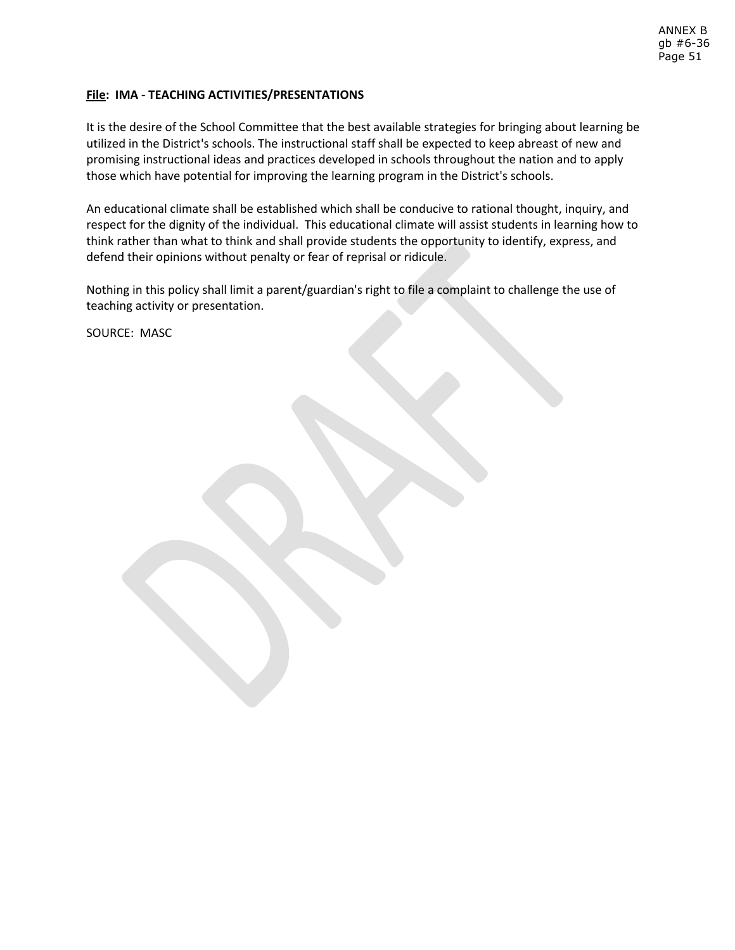# **File: IMA - TEACHING ACTIVITIES/PRESENTATIONS**

It is the desire of the School Committee that the best available strategies for bringing about learning be utilized in the District's schools. The instructional staff shall be expected to keep abreast of new and promising instructional ideas and practices developed in schools throughout the nation and to apply those which have potential for improving the learning program in the District's schools.

An educational climate shall be established which shall be conducive to rational thought, inquiry, and respect for the dignity of the individual. This educational climate will assist students in learning how to think rather than what to think and shall provide students the opportunity to identify, express, and defend their opinions without penalty or fear of reprisal or ridicule.

Nothing in this policy shall limit a parent/guardian's right to file a complaint to challenge the use of teaching activity or presentation.

SOURCE: MASC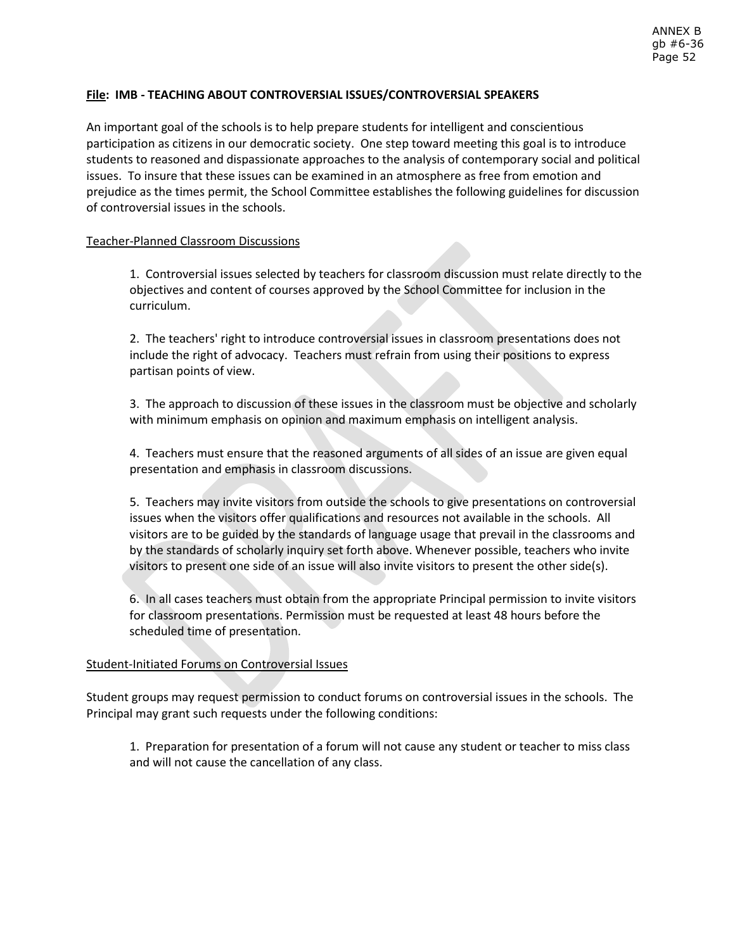## **File: IMB - TEACHING ABOUT CONTROVERSIAL ISSUES/CONTROVERSIAL SPEAKERS**

An important goal of the schools is to help prepare students for intelligent and conscientious participation as citizens in our democratic society. One step toward meeting this goal is to introduce students to reasoned and dispassionate approaches to the analysis of contemporary social and political issues. To insure that these issues can be examined in an atmosphere as free from emotion and prejudice as the times permit, the School Committee establishes the following guidelines for discussion of controversial issues in the schools.

## Teacher-Planned Classroom Discussions

1. Controversial issues selected by teachers for classroom discussion must relate directly to the objectives and content of courses approved by the School Committee for inclusion in the curriculum.

2. The teachers' right to introduce controversial issues in classroom presentations does not include the right of advocacy. Teachers must refrain from using their positions to express partisan points of view.

3. The approach to discussion of these issues in the classroom must be objective and scholarly with minimum emphasis on opinion and maximum emphasis on intelligent analysis.

4. Teachers must ensure that the reasoned arguments of all sides of an issue are given equal presentation and emphasis in classroom discussions.

5. Teachers may invite visitors from outside the schools to give presentations on controversial issues when the visitors offer qualifications and resources not available in the schools. All visitors are to be guided by the standards of language usage that prevail in the classrooms and by the standards of scholarly inquiry set forth above. Whenever possible, teachers who invite visitors to present one side of an issue will also invite visitors to present the other side(s).

6. In all cases teachers must obtain from the appropriate Principal permission to invite visitors for classroom presentations. Permission must be requested at least 48 hours before the scheduled time of presentation.

## Student-Initiated Forums on Controversial Issues

Student groups may request permission to conduct forums on controversial issues in the schools. The Principal may grant such requests under the following conditions:

1. Preparation for presentation of a forum will not cause any student or teacher to miss class and will not cause the cancellation of any class.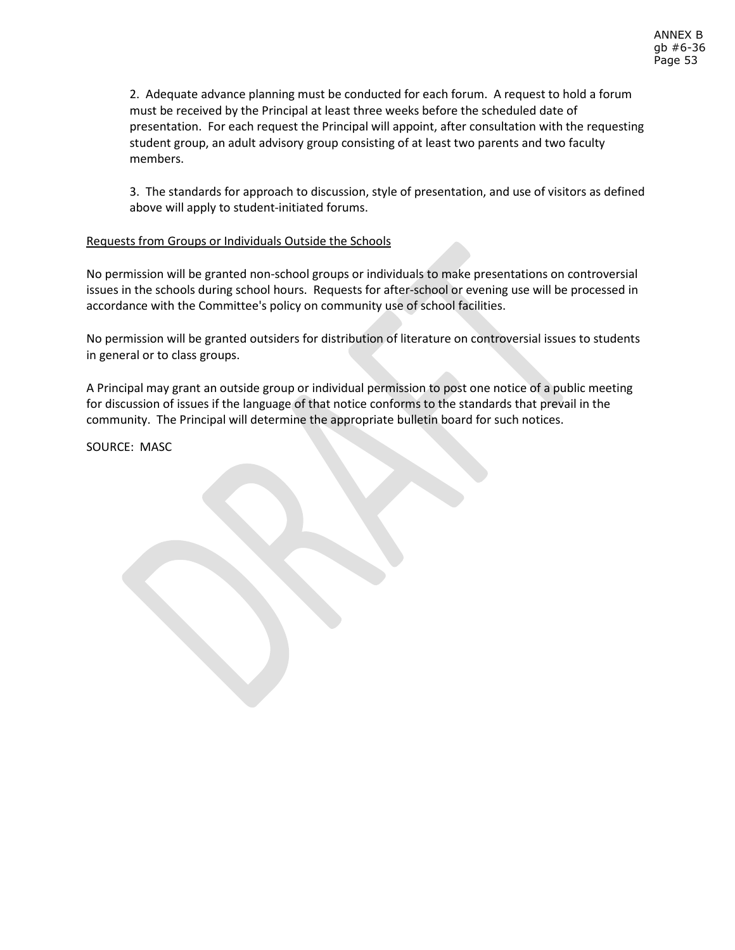2. Adequate advance planning must be conducted for each forum. A request to hold a forum must be received by the Principal at least three weeks before the scheduled date of presentation. For each request the Principal will appoint, after consultation with the requesting student group, an adult advisory group consisting of at least two parents and two faculty members.

3. The standards for approach to discussion, style of presentation, and use of visitors as defined above will apply to student-initiated forums.

# Requests from Groups or Individuals Outside the Schools

No permission will be granted non-school groups or individuals to make presentations on controversial issues in the schools during school hours. Requests for after-school or evening use will be processed in accordance with the Committee's policy on community use of school facilities.

No permission will be granted outsiders for distribution of literature on controversial issues to students in general or to class groups.

A Principal may grant an outside group or individual permission to post one notice of a public meeting for discussion of issues if the language of that notice conforms to the standards that prevail in the community. The Principal will determine the appropriate bulletin board for such notices.

SOURCE: MASC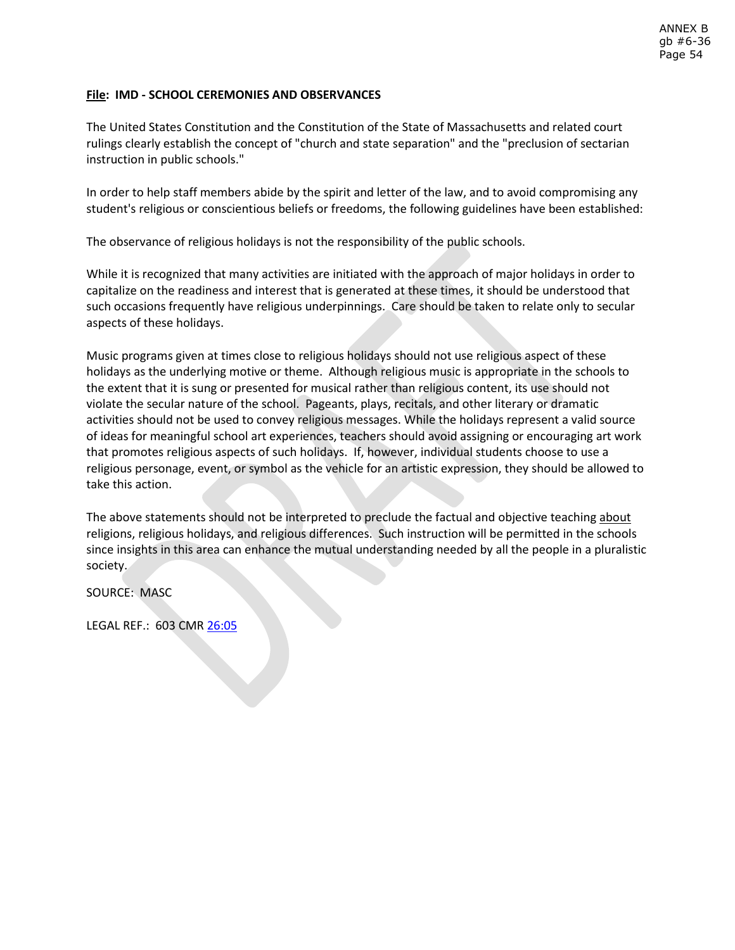# **File: IMD - SCHOOL CEREMONIES AND OBSERVANCES**

The United States Constitution and the Constitution of the State of Massachusetts and related court rulings clearly establish the concept of "church and state separation" and the "preclusion of sectarian instruction in public schools."

In order to help staff members abide by the spirit and letter of the law, and to avoid compromising any student's religious or conscientious beliefs or freedoms, the following guidelines have been established:

The observance of religious holidays is not the responsibility of the public schools.

While it is recognized that many activities are initiated with the approach of major holidays in order to capitalize on the readiness and interest that is generated at these times, it should be understood that such occasions frequently have religious underpinnings. Care should be taken to relate only to secular aspects of these holidays.

Music programs given at times close to religious holidays should not use religious aspect of these holidays as the underlying motive or theme. Although religious music is appropriate in the schools to the extent that it is sung or presented for musical rather than religious content, its use should not violate the secular nature of the school. Pageants, plays, recitals, and other literary or dramatic activities should not be used to convey religious messages. While the holidays represent a valid source of ideas for meaningful school art experiences, teachers should avoid assigning or encouraging art work that promotes religious aspects of such holidays. If, however, individual students choose to use a religious personage, event, or symbol as the vehicle for an artistic expression, they should be allowed to take this action.

The above statements should not be interpreted to preclude the factual and objective teaching about religions, religious holidays, and religious differences. Such instruction will be permitted in the schools since insights in this area can enhance the mutual understanding needed by all the people in a pluralistic society.

SOURCE: MASC

LEGAL REF.: 603 CM[R 26:05](http://www.doe.mass.edu/lawsregs/603cmr26.html?section=05)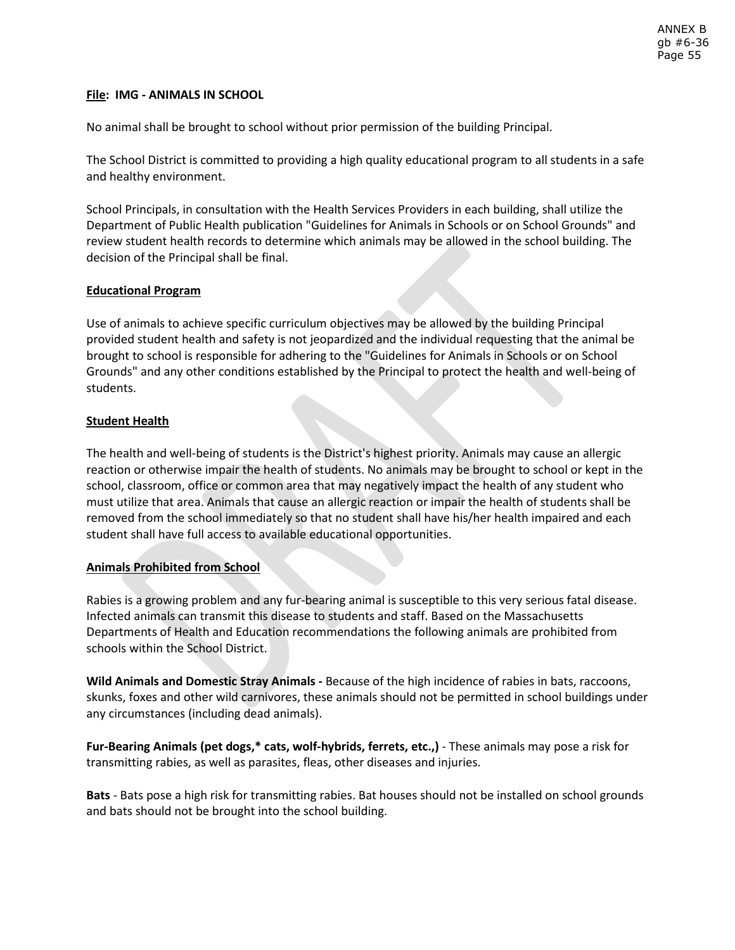# **File: IMG - ANIMALS IN SCHOOL**

No animal shall be brought to school without prior permission of the building Principal.

The School District is committed to providing a high quality educational program to all students in a safe and healthy environment.

School Principals, in consultation with the Health Services Providers in each building, shall utilize the Department of Public Health publication "Guidelines for Animals in Schools or on School Grounds" and review student health records to determine which animals may be allowed in the school building. The decision of the Principal shall be final.

# **Educational Program**

Use of animals to achieve specific curriculum objectives may be allowed by the building Principal provided student health and safety is not jeopardized and the individual requesting that the animal be brought to school is responsible for adhering to the "Guidelines for Animals in Schools or on School Grounds" and any other conditions established by the Principal to protect the health and well-being of students.

# **Student Health**

The health and well-being of students is the District's highest priority. Animals may cause an allergic reaction or otherwise impair the health of students. No animals may be brought to school or kept in the school, classroom, office or common area that may negatively impact the health of any student who must utilize that area. Animals that cause an allergic reaction or impair the health of students shall be removed from the school immediately so that no student shall have his/her health impaired and each student shall have full access to available educational opportunities.

# **Animals Prohibited from School**

Rabies is a growing problem and any fur-bearing animal is susceptible to this very serious fatal disease. Infected animals can transmit this disease to students and staff. Based on the Massachusetts Departments of Health and Education recommendations the following animals are prohibited from schools within the School District.

**Wild Animals and Domestic Stray Animals -** Because of the high incidence of rabies in bats, raccoons, skunks, foxes and other wild carnivores, these animals should not be permitted in school buildings under any circumstances (including dead animals).

**Fur-Bearing Animals (pet dogs,\* cats, wolf-hybrids, ferrets, etc.,)** - These animals may pose a risk for transmitting rabies, as well as parasites, fleas, other diseases and injuries.

**Bats** - Bats pose a high risk for transmitting rabies. Bat houses should not be installed on school grounds and bats should not be brought into the school building.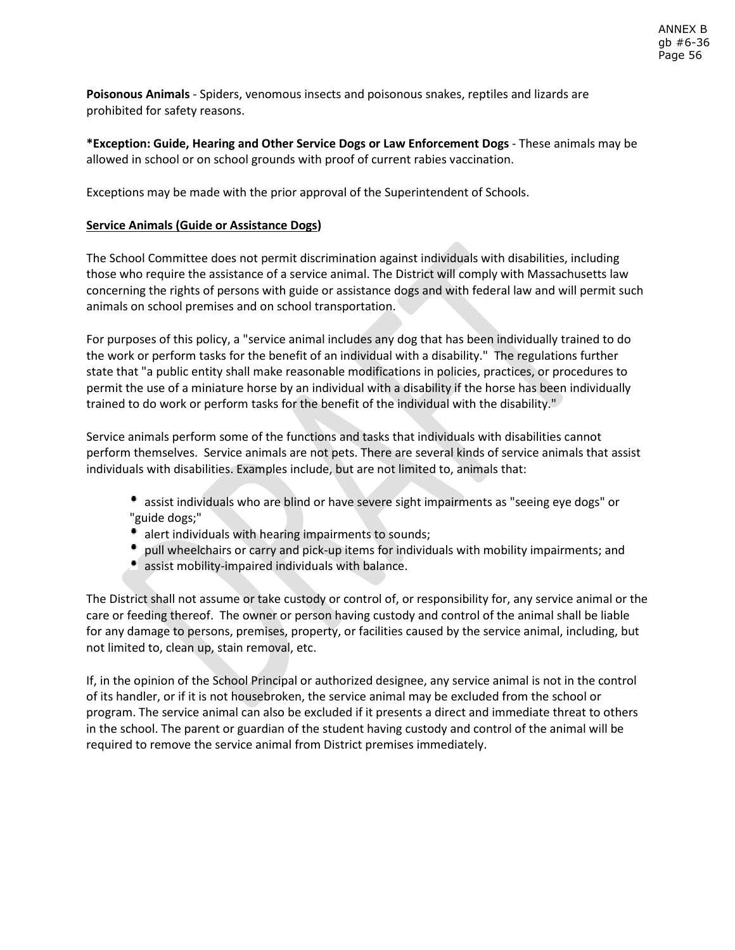**Poisonous Animals** - Spiders, venomous insects and poisonous snakes, reptiles and lizards are prohibited for safety reasons.

**\*Exception: Guide, Hearing and Other Service Dogs or Law Enforcement Dogs** - These animals may be allowed in school or on school grounds with proof of current rabies vaccination.

Exceptions may be made with the prior approval of the Superintendent of Schools.

# **Service Animals (Guide or Assistance Dogs)**

The School Committee does not permit discrimination against individuals with disabilities, including those who require the assistance of a service animal. The District will comply with Massachusetts law concerning the rights of persons with guide or assistance dogs and with federal law and will permit such animals on school premises and on school transportation.

For purposes of this policy, a "service animal includes any dog that has been individually trained to do the work or perform tasks for the benefit of an individual with a disability." The regulations further state that "a public entity shall make reasonable modifications in policies, practices, or procedures to permit the use of a miniature horse by an individual with a disability if the horse has been individually trained to do work or perform tasks for the benefit of the individual with the disability."

Service animals perform some of the functions and tasks that individuals with disabilities cannot perform themselves. Service animals are not pets. There are several kinds of service animals that assist individuals with disabilities. Examples include, but are not limited to, animals that:

- assist individuals who are blind or have severe sight impairments as "seeing eye dogs" or "guide dogs;"
- alert individuals with hearing impairments to sounds;
- pull wheelchairs or carry and pick-up items for individuals with mobility impairments; and
- assist mobility-impaired individuals with balance.

The District shall not assume or take custody or control of, or responsibility for, any service animal or the care or feeding thereof. The owner or person having custody and control of the animal shall be liable for any damage to persons, premises, property, or facilities caused by the service animal, including, but not limited to, clean up, stain removal, etc.

If, in the opinion of the School Principal or authorized designee, any service animal is not in the control of its handler, or if it is not housebroken, the service animal may be excluded from the school or program. The service animal can also be excluded if it presents a direct and immediate threat to others in the school. The parent or guardian of the student having custody and control of the animal will be required to remove the service animal from District premises immediately.